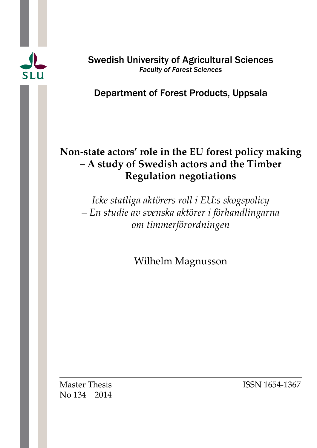

Swedish University of Agricultural Sciences *Faculty of Forest Sciences* 

# Department of Forest Products, Uppsala

# **Non-state actors' role in the EU forest policy making – A study of Swedish actors and the Timber Regulation negotiations**

*Icke statliga aktörers roll i EU:s skogspolicy – En studie av svenska aktörer i förhandlingarna om timmerförordningen*

Wilhelm Magnusson

No 134 2014

Master Thesis **ISSN 1654-1367**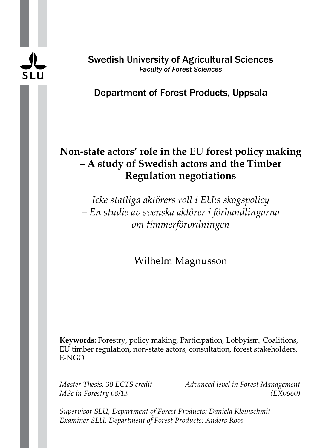

Swedish University of Agricultural Sciences *Faculty of Forest Sciences* 

# Department of Forest Products, Uppsala

# **Non-state actors' role in the EU forest policy making – A study of Swedish actors and the Timber Regulation negotiations**

*Icke statliga aktörers roll i EU:s skogspolicy – En studie av svenska aktörer i förhandlingarna om timmerförordningen*

Wilhelm Magnusson

**Keywords:** Forestry, policy making, Participation, Lobbyism, Coalitions, EU timber regulation, non-state actors, consultation, forest stakeholders, E-NGO

*Master Thesis, 30 ECTS credit Advanced level in Forest Management MSc in Forestry 08/13 (EX0660)*

*Supervisor SLU, Department of Forest Products: Daniela Kleinschmit Examiner SLU, Department of Forest Products: Anders Roos*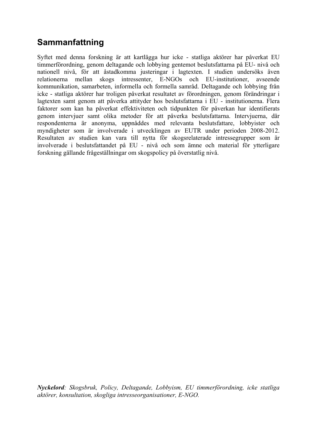# **Sammanfattning**

Syftet med denna forskning är att kartlägga hur icke - statliga aktörer har påverkat EU timmerförordning, genom deltagande och lobbying gentemot beslutsfattarna på EU- nivå och nationell nivå, för att åstadkomma justeringar i lagtexten. I studien undersöks även relationerna mellan skogs intressenter, E-NGOs och EU-institutioner, avseende kommunikation, samarbeten, informella och formella samråd. Deltagande och lobbying från icke - statliga aktörer har troligen påverkat resultatet av förordningen, genom förändringar i lagtexten samt genom att påverka attityder hos beslutsfattarna i EU - institutionerna. Flera faktorer som kan ha påverkat effektiviteten och tidpunkten för påverkan har identifierats genom intervjuer samt olika metoder för att påverka beslutsfattarna. Intervjuerna, där respondenterna är anonyma, uppnåddes med relevanta beslutsfattare, lobbyister och myndigheter som är involverade i utvecklingen av EUTR under perioden 2008-2012. Resultaten av studien kan vara till nytta för skogsrelaterade intressegrupper som är involverade i beslutsfattandet på EU - nivå och som ämne och material för ytterligare forskning gällande frågeställningar om skogspolicy på överstatlig nivå.

*Nyckelord: Skogsbruk, Policy, Deltagande, Lobbyism, EU timmerförordning, icke statliga aktörer, konsultation, skogliga intresseorganisationer, E-NGO.*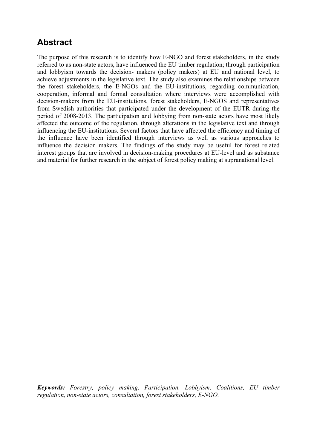# **Abstract**

The purpose of this research is to identify how E-NGO and forest stakeholders, in the study referred to as non-state actors, have influenced the EU timber regulation; through participation and lobbyism towards the decision- makers (policy makers) at EU and national level, to achieve adjustments in the legislative text. The study also examines the relationships between the forest stakeholders, the E-NGOs and the EU-institutions, regarding communication, cooperation, informal and formal consultation where interviews were accomplished with decision-makers from the EU-institutions, forest stakeholders, E-NGOS and representatives from Swedish authorities that participated under the development of the EUTR during the period of 2008-2013. The participation and lobbying from non-state actors have most likely affected the outcome of the regulation, through alterations in the legislative text and through influencing the EU-institutions. Several factors that have affected the efficiency and timing of the influence have been identified through interviews as well as various approaches to influence the decision makers. The findings of the study may be useful for forest related interest groups that are involved in decision-making procedures at EU-level and as substance and material for further research in the subject of forest policy making at supranational level.

*Keywords: Forestry, policy making, Participation, Lobbyism, Coalitions, EU timber regulation, non-state actors, consultation, forest stakeholders, E-NGO.*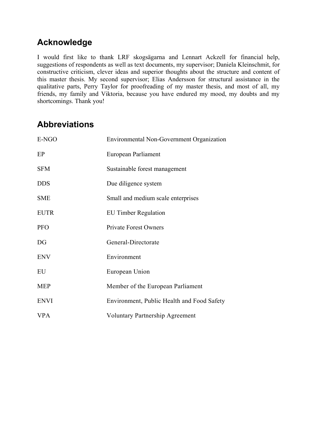# **Acknowledge**

I would first like to thank LRF skogsägarna and Lennart Ackzell for financial help, suggestions of respondents as well as text documents, my supervisor; Daniela Kleinschmit, for constructive criticism, clever ideas and superior thoughts about the structure and content of this master thesis. My second supervisor; Elias Andersson for structural assistance in the qualitative parts, Perry Taylor for proofreading of my master thesis, and most of all, my friends, my family and Viktoria, because you have endured my mood, my doubts and my shortcomings. Thank you!

# **Abbreviations**

| E-NGO       | Environmental Non-Government Organization  |  |  |  |  |  |
|-------------|--------------------------------------------|--|--|--|--|--|
| EP          | European Parliament                        |  |  |  |  |  |
| <b>SFM</b>  | Sustainable forest management              |  |  |  |  |  |
| <b>DDS</b>  | Due diligence system                       |  |  |  |  |  |
| <b>SME</b>  | Small and medium scale enterprises         |  |  |  |  |  |
| <b>EUTR</b> | <b>EU Timber Regulation</b>                |  |  |  |  |  |
| <b>PFO</b>  | <b>Private Forest Owners</b>               |  |  |  |  |  |
| DG          | General-Directorate                        |  |  |  |  |  |
| <b>ENV</b>  | Environment                                |  |  |  |  |  |
| EU          | European Union                             |  |  |  |  |  |
| <b>MEP</b>  | Member of the European Parliament          |  |  |  |  |  |
| <b>ENVI</b> | Environment, Public Health and Food Safety |  |  |  |  |  |
| <b>VPA</b>  | <b>Voluntary Partnership Agreement</b>     |  |  |  |  |  |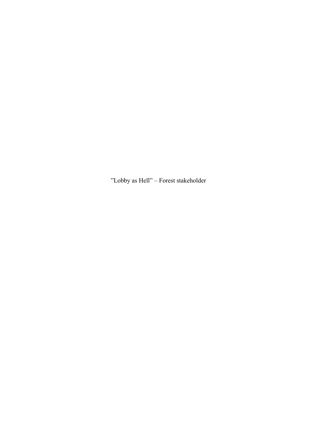"Lobby as Hell" – Forest stakeholder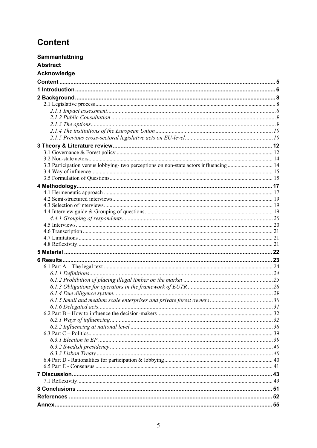# **Content**

| Sammanfattning  |  |
|-----------------|--|
| <b>Abstract</b> |  |
| Acknowledge     |  |
|                 |  |
|                 |  |
|                 |  |
|                 |  |
|                 |  |
|                 |  |
|                 |  |
|                 |  |
|                 |  |
|                 |  |
|                 |  |
|                 |  |
|                 |  |
|                 |  |
|                 |  |
|                 |  |
|                 |  |
|                 |  |
|                 |  |
|                 |  |
|                 |  |
|                 |  |
|                 |  |
|                 |  |
|                 |  |
|                 |  |
|                 |  |
|                 |  |
|                 |  |
|                 |  |
|                 |  |
|                 |  |
|                 |  |
|                 |  |
|                 |  |
|                 |  |
|                 |  |
|                 |  |
|                 |  |
|                 |  |
|                 |  |
|                 |  |
|                 |  |
|                 |  |
|                 |  |
|                 |  |
|                 |  |
|                 |  |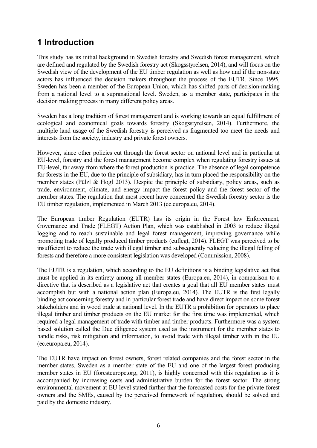# **1 Introduction**

This study has its initial background in Swedish forestry and Swedish forest management, which are defined and regulated by the Swedish forestry act (Skogsstyrelsen, 2014), and will focus on the Swedish view of the development of the EU timber regulation as well as how and if the non-state actors has influenced the decision makers throughout the process of the EUTR. Since 1995, Sweden has been a member of the European Union, which has shifted parts of decision-making from a national level to a supranational level. Sweden, as a member state, participates in the decision making process in many different policy areas.

Sweden has a long tradition of forest management and is working towards an equal fulfillment of ecological and economical goals towards forestry (Skogsstyrelsen, 2014). Furthermore, the multiple land usage of the Swedish forestry is perceived as fragmented too meet the needs and interests from the society, industry and private forest owners.

However, since other policies cut through the forest sector on national level and in particular at EU-level, forestry and the forest management become complex when regulating forestry issues at EU-level, far away from where the forest production is practice. The absence of legal competence for forests in the EU, due to the principle of subsidiary, has in turn placed the responsibility on the member states (Pülzl & Hogl 2013). Despite the principle of subsidiary, policy areas, such as trade, environment, climate, and energy impact the forest policy and the forest sector of the member states. The regulation that most recent have concerned the Swedish forestry sector is the EU timber regulation, implemented in March 2013 (ec.europa.eu, 2014).

The European timber Regulation (EUTR) has its origin in the Forest law Enforcement, Governance and Trade (FLEGT) Action Plan, which was established in 2003 to reduce illegal logging and to reach sustainable and legal forest management, improving governance while promoting trade of legally produced timber products (euflegt, 2014). FLEGT was perceived to be insufficient to reduce the trade with illegal timber and subsequently reducing the illegal felling of forests and therefore a more consistent legislation was developed (Commission, 2008).

The EUTR is a regulation, which according to the EU definitions is a binding legislative act that must be applied in its entirety among all member states (Europa.eu, 2014), in comparison to a directive that is described as a legislative act that creates a goal that all EU member states must accomplish but with a national action plan (Europa.eu, 2014). The EUTR is the first legally binding act concerning forestry and in particular forest trade and have direct impact on some forest stakeholders and in wood trade at national level. In the EUTR a prohibition for operators to place illegal timber and timber products on the EU market for the first time was implemented, which required a legal management of trade with timber and timber products. Furthermore was a system based solution called the Due diligence system used as the instrument for the member states to handle risks, risk mitigation and information, to avoid trade with illegal timber with in the EU (ec.europa.eu, 2014).

The EUTR have impact on forest owners, forest related companies and the forest sector in the member states. Sweden as a member state of the EU and one of the largest forest producing member states in EU (foresteurope.org, 2011), is highly concerned with this regulation as it is accompanied by increasing costs and administrative burden for the forest sector. The strong environmental movement at EU-level stated further that the forecasted costs for the private forest owners and the SMEs, caused by the perceived framework of regulation, should be solved and paid by the domestic industry.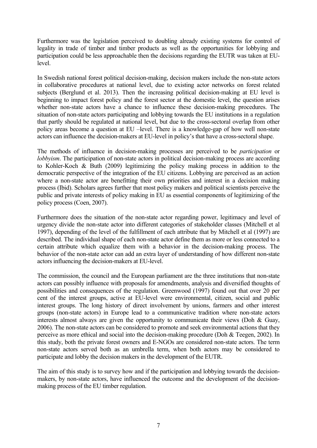Furthermore was the legislation perceived to doubling already existing systems for control of legality in trade of timber and timber products as well as the opportunities for lobbying and participation could be less approachable then the decisions regarding the EUTR was taken at EUlevel.

In Swedish national forest political decision-making, decision makers include the non-state actors in collaborative procedures at national level, due to existing actor networks on forest related subjects (Berglund et al. 2013). Then the increasing political decision-making at EU level is beginning to impact forest policy and the forest sector at the domestic level, the question arises whether non-state actors have a chance to influence these decision-making procedures. The situation of non-state actors participating and lobbying towards the EU institutions in a regulation that partly should be regulated at national level, but due to the cross-sectoral overlap from other policy areas become a question at EU –level. There is a knowledge-gap of how well non-state actors can influence the decision-makers at EU-level in policy's that have a cross-sectoral shape.

The methods of influence in decision-making processes are perceived to be *participation* or *lobbyism*. The participation of non-state actors in political decision-making process are according to Kohler-Koch & Buth (2009) legitimizing the policy making process in addition to the democratic perspective of the integration of the EU citizens. Lobbying are perceived as an action where a non-state actor are benefitting their own priorities and interest in a decision making process (Ibid). Scholars agrees further that most policy makers and political scientists perceive the public and private interests of policy making in EU as essential components of legitimizing of the policy process (Coen, 2007).

Furthermore does the situation of the non-state actor regarding power, legitimacy and level of urgency divide the non-state actor into different categories of stakeholder classes (Mitchell et al 1997), depending of the level of the fulfillment of each attribute that by Mitchell et al (1997) are described. The individual shape of each non-state actor define them as more or less connected to a certain attribute which equalize them with a behavior in the decision-making process. The behavior of the non-state actor can add an extra layer of understanding of how different non-state actors influencing the decision-makers at EU-level.

The commission, the council and the European parliament are the three institutions that non-state actors can possibly influence with proposals for amendments, analysis and diversified thoughts of possibilities and consequences of the regulation. Greenwood (1997) found out that over 20 per cent of the interest groups, active at EU-level were environmental, citizen, social and public interest groups. The long history of direct involvement by unions, farmers and other interest groups (non-state actors) in Europe lead to a communicative tradition where non-state actors interests almost always are given the opportunity to communicate their views (Doh & Guay, 2006). The non-state actors can be considered to promote and seek environmental actions that they perceive as more ethical and social into the decision-making procedure (Doh & Teegen, 2002). In this study, both the private forest owners and E-NGOs are considered non-state actors. The term non-state actors served both as an umbrella term, when both actors may be considered to participate and lobby the decision makers in the development of the EUTR.

The aim of this study is to survey how and if the participation and lobbying towards the decisionmakers, by non-state actors, have influenced the outcome and the development of the decisionmaking process of the EU timber regulation.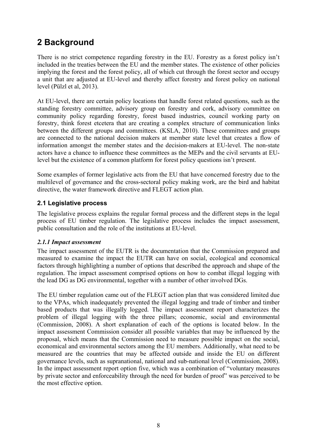# **2 Background**

There is no strict competence regarding forestry in the EU. Forestry as a forest policy isn't included in the treaties between the EU and the member states. The existence of other policies implying the forest and the forest policy, all of which cut through the forest sector and occupy a unit that are adjusted at EU-level and thereby affect forestry and forest policy on national level (Pülzl et al, 2013).

At EU-level, there are certain policy locations that handle forest related questions, such as the standing forestry committee, advisory group on forestry and cork, advisory committee on community policy regarding forestry, forest based industries, council working party on forestry, think forest etcetera that are creating a complex structure of communication links between the different groups and committees. (KSLA, 2010). These committees and groups are connected to the national decision makers at member state level that creates a flow of information amongst the member states and the decision-makers at EU-level. The non-state actors have a chance to influence these committees as the MEPs and the civil servants at EUlevel but the existence of a common platform for forest policy questions isn't present.

Some examples of former legislative acts from the EU that have concerned forestry due to the multilevel of governance and the cross-sectoral policy making work, are the bird and habitat directive, the water framework directive and FLEGT action plan.

## **2.1 Legislative process**

The legislative process explains the regular formal process and the different steps in the legal process of EU timber regulation. The legislative process includes the impact assessment, public consultation and the role of the institutions at EU-level.

### *2.1.1 Impact assessment*

The impact assessment of the EUTR is the documentation that the Commission prepared and measured to examine the impact the EUTR can have on social, ecological and economical factors through highlighting a number of options that described the approach and shape of the regulation. The impact assessment comprised options on how to combat illegal logging with the lead DG as DG environmental, together with a number of other involved DGs.

The EU timber regulation came out of the FLEGT action plan that was considered limited due to the VPAs, which inadequately prevented the illegal logging and trade of timber and timber based products that was illegally logged. The impact assessment report characterizes the problem of illegal logging with the three pillars; economic, social and environmental (Commission, 2008). A short explanation of each of the options is located below. In the impact assessment Commission consider all possible variables that may be influenced by the proposal, which means that the Commission need to measure possible impact on the social, economical and environmental sectors among the EU members. Additionally, what need to be measured are the countries that may be affected outside and inside the EU on different governance levels, such as supranational, national and sub-national level (Commission, 2008). In the impact assessment report option five, which was a combination of "voluntary measures by private sector and enforceability through the need for burden of proof" was perceived to be the most effective option.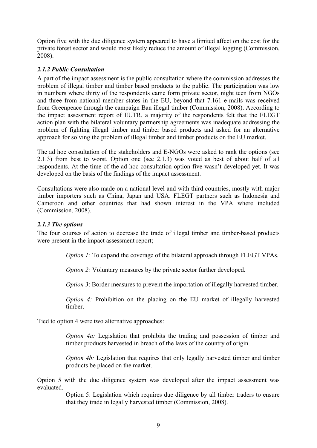Option five with the due diligence system appeared to have a limited affect on the cost for the private forest sector and would most likely reduce the amount of illegal logging (Commission, 2008).

### *2.1.2 Public Consultation*

A part of the impact assessment is the public consultation where the commission addresses the problem of illegal timber and timber based products to the public. The participation was low in numbers where thirty of the respondents came form private sector, night teen from NGOs and three from national member states in the EU, beyond that 7.161 e-mails was received from Greenpeace through the campaign Ban illegal timber (Commission, 2008). According to the impact assessment report of EUTR, a majority of the respondents felt that the FLEGT action plan with the bilateral voluntary partnership agreements was inadequate addressing the problem of fighting illegal timber and timber based products and asked for an alternative approach for solving the problem of illegal timber and timber products on the EU market.

The ad hoc consultation of the stakeholders and E-NGOs were asked to rank the options (see 2.1.3) from best to worst. Option one (see 2.1.3) was voted as best of about half of all respondents. At the time of the ad hoc consultation option five wasn't developed yet. It was developed on the basis of the findings of the impact assessment.

Consultations were also made on a national level and with third countries, mostly with major timber importers such as China, Japan and USA. FLEGT partners such as Indonesia and Cameroon and other countries that had shown interest in the VPA where included (Commission, 2008).

#### *2.1.3 The options*

The four courses of action to decrease the trade of illegal timber and timber-based products were present in the impact assessment report;

*Option 1:* To expand the coverage of the bilateral approach through FLEGT VPAs.

*Option 2:* Voluntary measures by the private sector further developed.

*Option 3*: Border measures to prevent the importation of illegally harvested timber.

*Option 4:* Prohibition on the placing on the EU market of illegally harvested timber.

Tied to option 4 were two alternative approaches:

*Option 4a:* Legislation that prohibits the trading and possession of timber and timber products harvested in breach of the laws of the country of origin.

*Option 4b:* Legislation that requires that only legally harvested timber and timber products be placed on the market.

Option 5 with the due diligence system was developed after the impact assessment was evaluated.

> Option 5: Legislation which requires due diligence by all timber traders to ensure that they trade in legally harvested timber (Commission, 2008).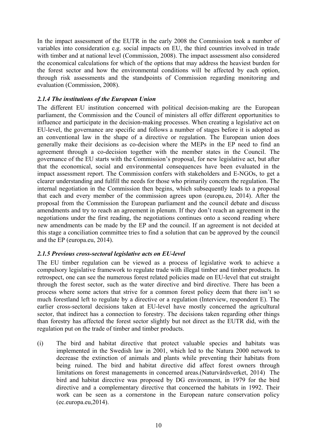In the impact assessment of the EUTR in the early 2008 the Commission took a number of variables into consideration e.g. social impacts on EU, the third countries involved in trade with timber and at national level (Commission, 2008). The impact assessment also considered the economical calculations for which of the options that may address the heaviest burden for the forest sector and how the environmental conditions will be affected by each option, through risk assessments and the standpoints of Commission regarding monitoring and evaluation (Commission, 2008).

### *2.1.4 The institutions of the European Union*

The different EU institution concerned with political decision-making are the European parliament, the Commission and the Council of ministers all offer different opportunities to influence and participate in the decision-making processes. When creating a legislative act on EU-level, the governance are specific and follows a number of stages before it is adopted as an conventional law in the shape of a directive or regulation. The European union does generally make their decisions as co-decision where the MEPs in the EP need to find an agreement through a co-decision together with the member states in the Council. The governance of the EU starts with the Commission's proposal, for new legislative act, but after that the economical, social and environmental consequences have been evaluated in the impact assessment report. The Commission confers with stakeholders and E-NGOs, to get a clearer understanding and fulfill the needs for those who primarily concern the regulation. The internal negotiation in the Commission then begins, which subsequently leads to a proposal that each and every member of the commission agrees upon (europa.eu, 2014). After the proposal from the Commission the European parliament and the council debate and discuss amendments and try to reach an agreement in plenum. If they don't reach an agreement in the negotiations under the first reading, the negotiations continues onto a second reading where new amendments can be made by the EP and the council. If an agreement is not decided at this stage a conciliation committee tries to find a solution that can be approved by the council and the EP (europa.eu, 2014).

### *2.1.5 Previous cross-sectoral legislative acts on EU-level*

The EU timber regulation can be viewed as a process of legislative work to achieve a compulsory legislative framework to regulate trade with illegal timber and timber products. In retrospect, one can see the numerous forest related policies made on EU-level that cut straight through the forest sector, such as the water directive and bird directive. There has been a process where some actors that strive for a common forest policy deem that there isn't so much forestland left to regulate by a directive or a regulation (Interview, respondent E). The earlier cross-sectoral decisions taken at EU-level have mostly concerned the agricultural sector, that indirect has a connection to forestry. The decisions taken regarding other things than forestry has affected the forest sector slightly but not direct as the EUTR did, with the regulation put on the trade of timber and timber products.

(i) The bird and habitat directive that protect valuable species and habitats was implemented in the Swedish law in 2001, which led to the Natura 2000 network to decrease the extinction of animals and plants while preventing their habitats from being ruined. The bird and habitat directive did affect forest owners through limitations on forest managements in concerned areas.(Naturvårdsverket, 2014) The bird and habitat directive was proposed by DG environment, in 1979 for the bird directive and a complementary directive that concerned the habitats in 1992. Their work can be seen as a cornerstone in the European nature conservation policy (ec.europa.eu,2014).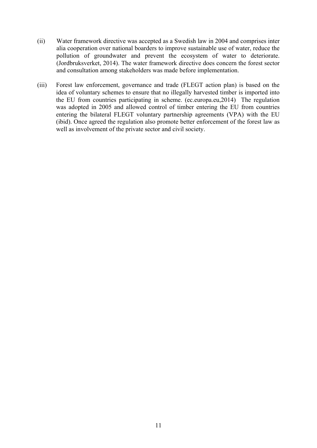- (ii) Water framework directive was accepted as a Swedish law in 2004 and comprises inter alia cooperation over national boarders to improve sustainable use of water, reduce the pollution of groundwater and prevent the ecosystem of water to deteriorate. (Jordbruksverket, 2014). The water framework directive does concern the forest sector and consultation among stakeholders was made before implementation.
- (iii) Forest law enforcement, governance and trade (FLEGT action plan) is based on the idea of voluntary schemes to ensure that no illegally harvested timber is imported into the EU from countries participating in scheme. (ec.europa.eu,2014) The regulation was adopted in 2005 and allowed control of timber entering the EU from countries entering the bilateral FLEGT voluntary partnership agreements (VPA) with the EU (ibid). Once agreed the regulation also promote better enforcement of the forest law as well as involvement of the private sector and civil society.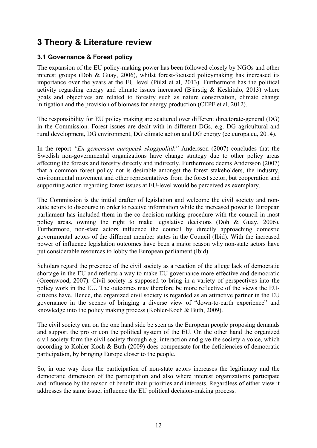# **3 Theory & Literature review**

## **3.1 Governance & Forest policy**

The expansion of the EU policy-making power has been followed closely by NGOs and other interest groups (Doh & Guay, 2006), whilst forest-focused policymaking has increased its importance over the years at the EU level (Pülzl et al, 2013). Furthermore has the political activity regarding energy and climate issues increased (Bjärstig & Keskitalo, 2013) where goals and objectives are related to forestry such as nature conservation, climate change mitigation and the provision of biomass for energy production (CEPF et al, 2012).

The responsibility for EU policy making are scattered over different directorate-general (DG) in the Commission. Forest issues are dealt with in different DGs, e.g. DG agricultural and rural development, DG environment, DG climate action and DG energy (ec.europa.eu, 2014).

In the report *"En gemensam europeisk skogspolitik"* Andersson (2007) concludes that the Swedish non-governmental organizations have change strategy due to other policy areas affecting the forests and forestry directly and indirectly. Furthermore deems Andersson (2007) that a common forest policy not is desirable amongst the forest stakeholders, the industry, environmental movement and other representatives from the forest sector, but cooperation and supporting action regarding forest issues at EU-level would be perceived as exemplary.

The Commission is the initial drafter of legislation and welcome the civil society and nonstate actors to discourse in order to receive information while the increased power to European parliament has included them in the co-decision-making procedure with the council in most policy areas, owning the right to make legislative decisions (Doh & Guay, 2006). Furthermore, non-state actors influence the council by directly approaching domestic governmental actors of the different member states in the Council (Ibid). With the increased power of influence legislation outcomes have been a major reason why non-state actors have put considerable resources to lobby the European parliament (Ibid).

Scholars regard the presence of the civil society as a reaction of the allege lack of democratic shortage in the EU and reflects a way to make EU governance more effective and democratic (Greenwood, 2007). Civil society is supposed to bring in a variety of perspectives into the policy work in the EU. The outcomes may therefore be more reflective of the views the EUcitizens have. Hence, the organized civil society is regarded as an attractive partner in the EU governance in the scenes of bringing a diverse view of "down-to-earth experience" and knowledge into the policy making process (Kohler-Koch & Buth, 2009).

The civil society can on the one hand side be seen as the European people proposing demands and support the pro or con the political system of the EU. On the other hand the organized civil society form the civil society through e.g. interaction and give the society a voice, which according to Kohler-Koch & Buth (2009) does compensate for the deficiencies of democratic participation, by bringing Europe closer to the people.

So, in one way does the participation of non-state actors increases the legitimacy and the democratic dimension of the participation and also where interest organizations participate and influence by the reason of benefit their priorities and interests. Regardless of either view it addresses the same issue; influence the EU political decision-making process.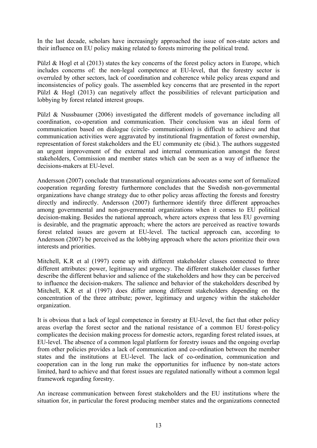In the last decade, scholars have increasingly approached the issue of non-state actors and their influence on EU policy making related to forests mirroring the political trend.

Pülzl & Hogl et al (2013) states the key concerns of the forest policy actors in Europe, which includes concerns of: the non-legal competence at EU-level, that the forestry sector is overruled by other sectors, lack of coordination and coherence while policy areas expand and inconsistencies of policy goals. The assembled key concerns that are presented in the report Pülzl & Hogl (2013) can negatively affect the possibilities of relevant participation and lobbying by forest related interest groups.

Pülzl & Nussbaumer (2006) investigated the different models of governance including all coordination, co-operation and communication. Their conclusion was an ideal form of communication based on dialogue (circle- communication) is difficult to achieve and that communication activities were aggravated by institutional fragmentation of forest ownership, representation of forest stakeholders and the EU community etc (ibid.). The authors suggested an urgent improvement of the external and internal communication amongst the forest stakeholders, Commission and member states which can be seen as a way of influence the decisions-makers at EU-level.

Andersson (2007) conclude that transnational organizations advocates some sort of formalized cooperation regarding forestry furthermore concludes that the Swedish non-governmental organizations have change strategy due to other policy areas affecting the forests and forestry directly and indirectly. Andersson (2007) furthermore identify three different approaches among governmental and non-governmental organizations when it comes to EU political decision-making. Besides the national approach, where actors express that less EU governing is desirable, and the pragmatic approach; where the actors are perceived as reactive towards forest related issues are govern at EU-level. The tactical approach can, according to Andersson (2007) be perceived as the lobbying approach where the actors prioritize their own interests and priorities.

Mitchell, K.R et al (1997) come up with different stakeholder classes connected to three different attributes: power, legitimacy and urgency. The different stakeholder classes further describe the different behavior and salience of the stakeholders and how they can be perceived to influence the decision-makers. The salience and behavior of the stakeholders described by Mitchell, K.R et al (1997) does differ among different stakeholders depending on the concentration of the three attribute; power, legitimacy and urgency within the stakeholder organization.

It is obvious that a lack of legal competence in forestry at EU-level, the fact that other policy areas overlap the forest sector and the national resistance of a common EU forest-policy complicates the decision making process for domestic actors, regarding forest related issues, at EU-level. The absence of a common legal platform for forestry issues and the ongoing overlap from other policies provides a lack of communication and co-ordination between the member states and the institutions at EU-level. The lack of co-ordination, communication and cooperation can in the long run make the opportunities for influence by non-state actors limited, hard to achieve and that forest issues are regulated nationally without a common legal framework regarding forestry.

An increase communication between forest stakeholders and the EU institutions where the situation for, in particular the forest producing member states and the organizations connected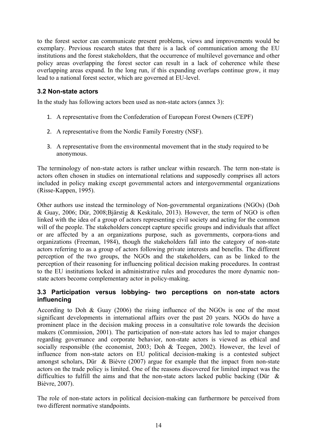to the forest sector can communicate present problems, views and improvements would be exemplary. Previous research states that there is a lack of communication among the EU institutions and the forest stakeholders, that the occurrence of multilevel governance and other policy areas overlapping the forest sector can result in a lack of coherence while these overlapping areas expand. In the long run, if this expanding overlaps continue grow, it may lead to a national forest sector, which are governed at EU-level.

## **3.2 Non-state actors**

In the study has following actors been used as non-state actors (annex 3):

- 1. A representative from the Confederation of European Forest Owners (CEPF)
- 2. A representative from the Nordic Family Forestry (NSF).
- 3. A representative from the environmental movement that in the study required to be anonymous.

The terminology of non-state actors is rather unclear within research. The term non-state is actors often chosen in studies on international relations and supposedly comprises all actors included in policy making except governmental actors and intergovernmental organizations (Risse-Kappen, 1995).

Other authors use instead the terminology of Non-governmental organizations (NGOs) (Doh & Guay, 2006; Dür, 2008;Bjärstig & Keskitalo, 2013). However, the term of NGO is often linked with the idea of a group of actors representing civil society and acting for the common will of the people. The stakeholders concept capture specific groups and individuals that affect or are affected by a an organizations purpose, such as governments, corpora-tions and organizations (Freeman, 1984), though the stakeholders fall into the category of non-state actors referring to as a group of actors following private interests and benefits. The different perception of the two groups, the NGOs and the stakeholders, can as be linked to the perception of their reasoning for influencing political decision making procedures. In contrast to the EU institutions locked in administrative rules and procedures the more dynamic nonstate actors become complementary actor in policy-making.

## **3.3 Participation versus lobbying- two perceptions on non-state actors influencing**

According to Doh & Guay (2006) the rising influence of the NGOs is one of the most significant developments in international affairs over the past 20 years. NGOs do have a prominent place in the decision making process in a consultative role towards the decision makers (Commission, 2001). The participation of non-state actors has led to major changes regarding governance and corporate behavior, non-state actors is viewed as ethical and socially responsible (the economist, 2003; Doh & Teegen, 2002). However, the level of influence from non-state actors on EU political decision-making is a contested subject amongst scholars, Dür & Bièvre (2007) argue for example that the impact from non-state actors on the trade policy is limited. One of the reasons discovered for limited impact was the difficulties to fulfill the aims and that the non-state actors lacked public backing (Dür & Bièvre, 2007).

The role of non-state actors in political decision-making can furthermore be perceived from two different normative standpoints.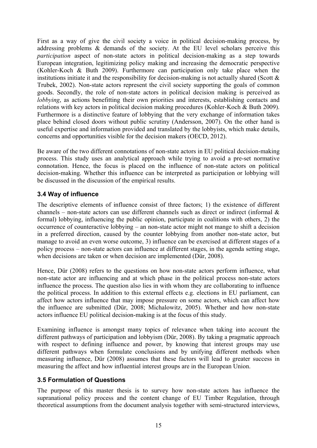First as a way of give the civil society a voice in political decision-making process, by addressing problems & demands of the society. At the EU level scholars perceive this *participation* aspect of non-state actors in political decision-making as a step towards European integration, legitimizing policy making and increasing the democratic perspective (Kohler-Koch & Buth 2009). Furthermore can participation only take place when the institutions initiate it and the responsibility for decision-making is not actually shared (Scott  $\&$ Trubek, 2002). Non-state actors represent the civil society supporting the goals of common goods. Secondly, the role of non-state actors in political decision making is perceived as *lobbying*, as actions benefitting their own priorities and interests, establishing contacts and relations with key actors in political decision making procedures (Kohler-Koch & Buth 2009). Furthermore is a distinctive feature of lobbying that the very exchange of information takes place behind closed doors without public scrutiny (Andersson, 2007). On the other hand is useful expertise and information provided and translated by the lobbyists, which make details, concerns and opportunities visible for the decision makers (OECD, 2012).

Be aware of the two different connotations of non-state actors in EU political decision-making process. This study uses an analytical approach while trying to avoid a pre-set normative connotation. Hence, the focus is placed on the influence of non-state actors on political decision-making. Whether this influence can be interpreted as participation or lobbying will be discussed in the discussion of the empirical results.

## **3.4 Way of influence**

The descriptive elements of influence consist of three factors; 1) the existence of different channels – non-state actors can use different channels such as direct or indirect (informal  $\&$ formal) lobbying, influencing the public opinion, participate in coalitions with others, 2) the occurrence of counteractive lobbying – an non-state actor might not mange to shift a decision in a preferred direction, caused by the counter lobbying from another non-state actor, but manage to avoid an even worse outcome, 3) influence can be exercised at different stages of a policy process – non-state actors can influence at different stages, in the agenda setting stage, when decisions are taken or when decision are implemented (Dür, 2008).

Hence, Dür (2008) refers to the questions on how non-state actors perform influence, what non-state actor are influencing and at which phase in the political process non-state actors influence the process. The question also lies in with whom they are collaborating to influence the political process. In addition to this external effects e.g. elections in EU parliament, can affect how actors influence that may impose pressure on some actors, which can affect how the influence are submitted (Dür, 2008; Michalowitz, 2005). Whether and how non-state actors influence EU political decision-making is at the focus of this study.

Examining influence is amongst many topics of relevance when taking into account the different pathways of participation and lobbyism (Dür, 2008). By taking a pragmatic approach with respect to defining influence and power, by knowing that interest groups may use different pathways when formulate conclusions and by unifying different methods when measuring influence, Dür (2008) assumes that these factors will lead to greater success in measuring the affect and how influential interest groups are in the European Union.

## **3.5 Formulation of Questions**

The purpose of this master thesis is to survey how non-state actors has influence the supranational policy process and the content change of EU Timber Regulation, through theoretical assumptions from the document analysis together with semi-structured interviews,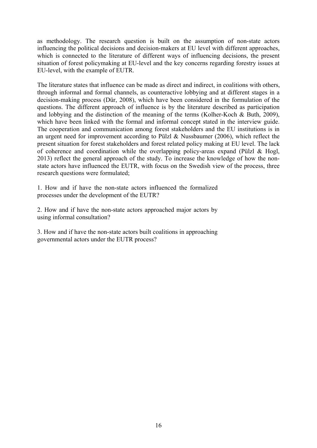as methodology. The research question is built on the assumption of non-state actors influencing the political decisions and decision-makers at EU level with different approaches, which is connected to the literature of different ways of influencing decisions, the present situation of forest policymaking at EU-level and the key concerns regarding forestry issues at EU-level, with the example of EUTR.

The literature states that influence can be made as direct and indirect, in coalitions with others, through informal and formal channels, as counteractive lobbying and at different stages in a decision-making process (Dür, 2008), which have been considered in the formulation of the questions. The different approach of influence is by the literature described as participation and lobbying and the distinction of the meaning of the terms (Kolher-Koch & Buth, 2009), which have been linked with the formal and informal concept stated in the interview guide. The cooperation and communication among forest stakeholders and the EU institutions is in an urgent need for improvement according to Pülzl & Nussbaumer (2006), which reflect the present situation for forest stakeholders and forest related policy making at EU level. The lack of coherence and coordination while the overlapping policy-areas expand (Pülzl & Hogl, 2013) reflect the general approach of the study. To increase the knowledge of how the nonstate actors have influenced the EUTR, with focus on the Swedish view of the process, three research questions were formulated;

1. How and if have the non-state actors influenced the formalized processes under the development of the EUTR?

2. How and if have the non-state actors approached major actors by using informal consultation?

3. How and if have the non-state actors built coalitions in approaching governmental actors under the EUTR process?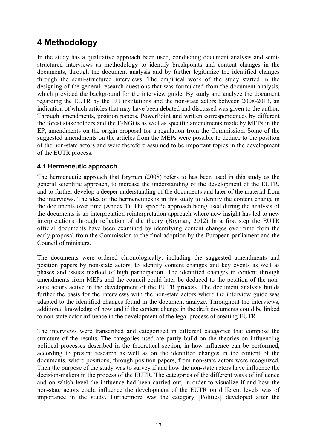# **4 Methodology**

In the study has a qualitative approach been used, conducting document analysis and semistructured interviews as methodology to identify breakpoints and content changes in the documents, through the document analysis and by further legitimize the identified changes through the semi-structured interviews. The empirical work of the study started in the designing of the general research questions that was formulated from the document analysis, which provided the background for the interview guide. By study and analyze the document regarding the EUTR by the EU institutions and the non-state actors between 2008-2013, an indication of which articles that may have been debated and discussed was given to the author. Through amendments, position papers, PowerPoint and written correspondences by different the forest stakeholders and the E-NGOs as well as specific amendments made by MEPs in the EP, amendments on the origin proposal for a regulation from the Commission. Some of the suggested amendments on the articles from the MEPs were possible to deduce to the position of the non-state actors and were therefore assumed to be important topics in the development of the EUTR process.

## **4.1 Hermeneutic approach**

The hermeneutic approach that Bryman (2008) refers to has been used in this study as the general scientific approach, to increase the understanding of the development of the EUTR, and to further develop a deeper understanding of the documents and later of the material from the interviews. The idea of the hermeneutics is in this study to identify the content change in the documents over time (Annex 1). The specific approach being used during the analysis of the documents is an interpretation-reinterpretation approach where new insight has led to new interpretations through reflection of the theory (Bryman, 2012) In a first step the EUTR official documents have been examined by identifying content changes over time from the early proposal from the Commission to the final adoption by the European parliament and the Council of ministers.

The documents were ordered chronologically, including the suggested amendments and position papers by non-state actors, to identify content changes and key events as well as phases and issues marked of high participation. The identified changes in content through amendments from MEPs and the council could later be deduced to the position of the nonstate actors active in the development of the EUTR process. The document analysis builds further the basis for the interviews with the non-state actors where the interview guide was adapted to the identified changes found in the document analyze. Throughout the interviews, additional knowledge of how and if the content change in the draft documents could be linked to non-state actor influence in the development of the legal process of creating EUTR.

The interviews were transcribed and categorized in different categories that compose the structure of the results. The categories used are partly build on the theories on influencing political processes described in the theoretical section, in how influence can be performed, according to present research as well as on the identified changes in the content of the documents, where positions, through position papers, from non-state actors were recognized. Then the purpose of the study was to survey if and how the non-state actors have influence the decision-makers in the process of the EUTR. The categories of the different ways of influence and on which level the influence had been carried out, in order to visualize if and how the non-state actors could influence the development of the EUTR on different levels was of importance in the study. Furthermore was the category [Politics] developed after the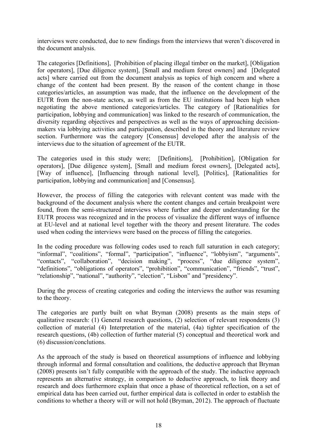interviews were conducted, due to new findings from the interviews that weren't discovered in the document analysis.

The categories [Definitions], [Prohibition of placing illegal timber on the market], [Obligation for operators], [Due diligence system], [Small and medium forest owners] and [Delegated acts] where carried out from the document analysis as topics of high concern and where a change of the content had been present. By the reason of the content change in those categories/articles, an assumption was made, that the influence on the development of the EUTR from the non-state actors, as well as from the EU institutions had been high when negotiating the above mentioned categories/articles. The category of [Rationalities for participation, lobbying and communication] was linked to the research of communication, the diversity regarding objectives and perspectives as well as the ways of approaching decisionmakers via lobbying activities and participation, described in the theory and literature review section. Furthermore was the category [Consensus] developed after the analysis of the interviews due to the situation of agreement of the EUTR.

The categories used in this study were; [Definitions], [Prohibition], [Obligation for operators], [Due diligence system], [Small and medium forest owners], [Delegated acts], [Way of influence], [Influencing through national level], [Politics], [Rationalities for participation, lobbying and communication] and [Consensus].

However, the process of filling the categories with relevant content was made with the background of the document analysis where the content changes and certain breakpoint were found, from the semi-structured interviews where further and deeper understanding for the EUTR process was recognized and in the process of visualize the different ways of influence at EU-level and at national level together with the theory and present literature. The codes used when coding the interviews were based on the process of filling the categories.

In the coding procedure was following codes used to reach full saturation in each category; "informal", "coalitions", "formal", "participation", "influence", "lobbyism", "arguments", "contacts", "collaboration", "decision making", "process", "due diligence system", "definitions", "obligations of operators", "prohibition", "communication", "friends", "trust", "relationship", "national", "authority", "election", "Lisbon" and "presidency".

During the process of creating categories and coding the interviews the author was resuming to the theory.

The categories are partly built on what Bryman (2008) presents as the main steps of qualitative research: (1) General research questions, (2) selection of relevant respondents (3) collection of material (4) Interpretation of the material, (4a) tighter specification of the research questions, (4b) collection of further material (5) conceptual and theoretical work and (6) discussion/conclutions.

As the approach of the study is based on theoretical assumptions of influence and lobbying through informal and formal consultation and coalitions, the deductive approach that Bryman (2008) presents isn't fully compatible with the approach of the study. The inductive approach represents an alternative strategy, in comparison to deductive approach, to link theory and research and does furthermore explain that once a phase of theoretical reflection, on a set of empirical data has been carried out, further empirical data is collected in order to establish the conditions to whether a theory will or will not hold (Bryman, 2012). The approach of fluctuate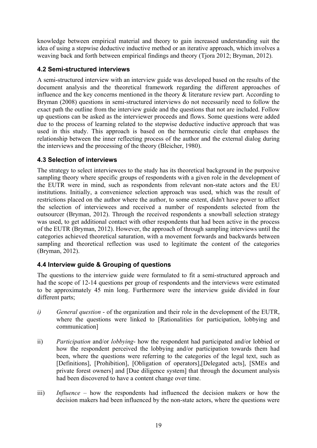knowledge between empirical material and theory to gain increased understanding suit the idea of using a stepwise deductive inductive method or an iterative approach, which involves a weaving back and forth between empirical findings and theory (Tjora 2012; Bryman, 2012).

## **4.2 Semi-structured interviews**

A semi-structured interview with an interview guide was developed based on the results of the document analysis and the theoretical framework regarding the different approaches of influence and the key concerns mentioned in the theory & literature review part. According to Bryman (2008) questions in semi-structured interviews do not necessarily need to follow the exact path the outline from the interview guide and the questions that not are included. Follow up questions can be asked as the interviewer proceeds and flows. Some questions were added due to the process of learning related to the stepwise deductive inductive approach that was used in this study. This approach is based on the hermeneutic circle that emphases the relationship between the inner reflecting process of the author and the external dialog during the interviews and the processing of the theory (Bleicher, 1980).

## **4.3 Selection of interviews**

The strategy to select interviewees to the study has its theoretical background in the purposive sampling theory where specific groups of respondents with a given role in the development of the EUTR were in mind, such as respondents from relevant non-state actors and the EU institutions. Initially, a convenience selection approach was used, which was the result of restrictions placed on the author where the author, to some extent, didn't have power to affect the selection of interviewees and received a number of respondents selected from the outsourcer (Bryman, 2012). Through the received respondents a snowball selection strategy was used, to get additional contact with other respondents that had been active in the process of the EUTR (Bryman, 2012). However, the approach of through sampling interviews until the categories achieved theoretical saturation, with a movement forwards and backwards between sampling and theoretical reflection was used to legitimate the content of the categories (Bryman, 2012).

## **4.4 Interview guide & Grouping of questions**

The questions to the interview guide were formulated to fit a semi-structured approach and had the scope of 12-14 questions per group of respondents and the interviews were estimated to be approximately 45 min long. Furthermore were the interview guide divided in four different parts;

- *i) General question* of the organization and their role in the development of the EUTR, where the questions were linked to [Rationalities for participation, lobbying and communication]
- ii) *Participation* and/or *lobbying* how the respondent had participated and/or lobbied or how the respondent perceived the lobbying and/or participation towards them had been, where the questions were referring to the categories of the legal text, such as [Definitions], [Prohibition], [Obligation of operators],[Delegated acts], [SMEs and private forest owners] and [Due diligence system] that through the document analysis had been discovered to have a content change over time.
- iii) *Influence* how the respondents had influenced the decision makers or how the decision makers had been influenced by the non-state actors, where the questions were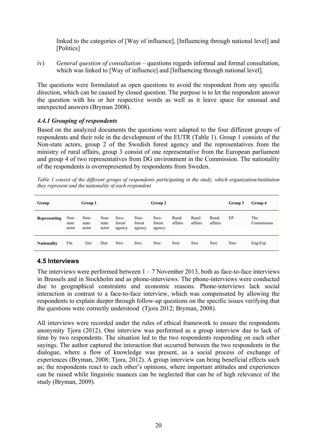linked to the categories of [Way of influence], [Influencing through national level] and [Politics]

iv)*General question of consultation* – questions regards informal and formal consultation, which was linked to [Way of influence] and [Influencing through national level].

The questions were formulated as open questions to avoid the respondent from any specific direction, which can be caused by closed question. The purpose is to let the respondent answer the question with his or her respective words as well as it leave space for unusual and unexpected answers (Bryman 2008).

## *4.4.1 Grouping of respondents*

Based on the analyzed documents the questions were adapted to the four different groups of respondents and their role in the development of the EUTR (Table 1). Group 1 consists of the Non-state actors, group 2 of the Swedish forest agency and the representatives from the ministry of rural affairs, group 3 consist of one representative from the European parliament and group 4 of two representatives from DG environment in the Commission. The nationality of the respondents is overrepresented by respondents from Sweden.

*Table 1 consist of the different groups of respondents participating in the study, which organization/institution they represent and the nationality of each respondent* 

| Group              |                        | Group 1                |                        |                          | Group 2                  |                          |                  |                  |                  |     | Group 4           |
|--------------------|------------------------|------------------------|------------------------|--------------------------|--------------------------|--------------------------|------------------|------------------|------------------|-----|-------------------|
| Representing       | Non-<br>state<br>actor | Non-<br>state<br>actor | Non-<br>state<br>actor | Swe-<br>forest<br>agency | Swe-<br>forest<br>agency | Swe-<br>forest<br>agency | Rural<br>affairs | Rural<br>affairs | Rural<br>affairs | EP  | The<br>Commission |
| <b>Nationality</b> | Fin                    | Ger                    | Den                    | Swe                      | Swe                      | Swe                      | Swe              | Swe              | Swe              | Swe | Eng/Esp           |

## **4.5 Interviews**

The interviews were performed between  $1 - 7$  November 2013, both as face-to-face interviews in Brussels and in Stockholm and as phone-interviews. The phone-interviews were conducted due to geographical constraints and economic reasons. Phone-interviews lack social interaction in contrast to a face-to-face interview, which was compensated by allowing the respondents to explain deeper through follow-up questions on the specific issues verifying that the questions were correctly understood (Tjora 2012; Bryman, 2008).

All interviews were recorded under the rules of ethical framework to ensure the respondents anonymity Tjora (2012). One interview was performed as a group interview due to lack of time by two respondents. The situation led to the two respondents responding on each other sayings. The author captured the interaction that occurred between the two respondents in the dialogue, where a flow of knowledge was present, as a social process of exchange of experiences (Bryman, 2008; Tjora, 2012). A group interview can bring beneficial effects such as; the respondents react to each other's opinions, where important attitudes and experiences can be raised while linguistic nuances can be neglected that can be of high relevance of the study (Bryman, 2009).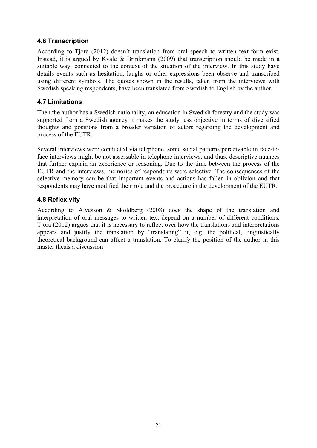## **4.6 Transcription**

According to Tjora (2012) doesn't translation from oral speech to written text-form exist. Instead, it is argued by Kvale & Brinkmann (2009) that transcription should be made in a suitable way, connected to the context of the situation of the interview. In this study have details events such as hesitation, laughs or other expressions been observe and transcribed using different symbols. The quotes shown in the results, taken from the interviews with Swedish speaking respondents, have been translated from Swedish to English by the author.

## **4.7 Limitations**

Then the author has a Swedish nationality, an education in Swedish forestry and the study was supported from a Swedish agency it makes the study less objective in terms of diversified thoughts and positions from a broader variation of actors regarding the development and process of the EUTR.

Several interviews were conducted via telephone, some social patterns perceivable in face-toface interviews might be not assessable in telephone interviews, and thus, descriptive nuances that further explain an experience or reasoning. Due to the time between the process of the EUTR and the interviews, memories of respondents were selective. The consequences of the selective memory can be that important events and actions has fallen in oblivion and that respondents may have modified their role and the procedure in the development of the EUTR.

## **4.8 Reflexivity**

According to Alvesson & Sköldberg (2008) does the shape of the translation and interpretation of oral messages to written text depend on a number of different conditions. Tjora (2012) argues that it is necessary to reflect over how the translations and interpretations appears and justify the translation by "translating" it, e.g. the political, linguistically theoretical background can affect a translation. To clarify the position of the author in this master thesis a discussion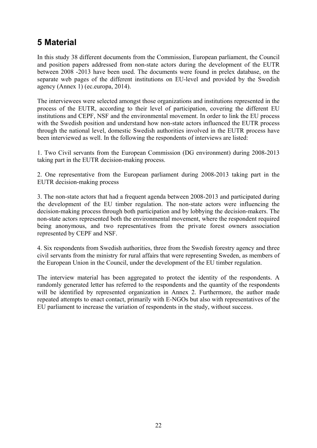# **5 Material**

In this study 38 different documents from the Commission, European parliament, the Council and position papers addressed from non-state actors during the development of the EUTR between 2008 -2013 have been used. The documents were found in prelex database, on the separate web pages of the different institutions on EU-level and provided by the Swedish agency (Annex 1) (ec.europa, 2014).

The interviewees were selected amongst those organizations and institutions represented in the process of the EUTR, according to their level of participation, covering the different EU institutions and CEPF, NSF and the environmental movement. In order to link the EU process with the Swedish position and understand how non-state actors influenced the EUTR process through the national level, domestic Swedish authorities involved in the EUTR process have been interviewed as well. In the following the respondents of interviews are listed:

1. Two Civil servants from the European Commission (DG environment) during 2008-2013 taking part in the EUTR decision-making process.

2. One representative from the European parliament during 2008-2013 taking part in the EUTR decision-making process

3. The non-state actors that had a frequent agenda between 2008-2013 and participated during the development of the EU timber regulation. The non-state actors were influencing the decision-making process through both participation and by lobbying the decision-makers. The non-state actors represented both the environmental movement, where the respondent required being anonymous, and two representatives from the private forest owners association represented by CEPF and NSF.

4. Six respondents from Swedish authorities, three from the Swedish forestry agency and three civil servants from the ministry for rural affairs that were representing Sweden, as members of the European Union in the Council, under the development of the EU timber regulation.

The interview material has been aggregated to protect the identity of the respondents. A randomly generated letter has referred to the respondents and the quantity of the respondents will be identified by represented organization in Annex 2. Furthermore, the author made repeated attempts to enact contact, primarily with E-NGOs but also with representatives of the EU parliament to increase the variation of respondents in the study, without success.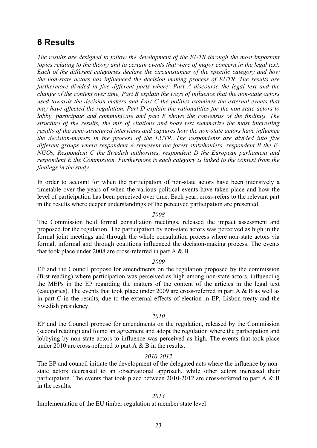## **6 Results**

*The results are designed to follow the development of the EUTR through the most important topics relating to the theory and to certain events that were of major concern in the legal text. Each of the different categories declare the circumstances of the specific category and how the non-state actors has influenced the decision making process of EUTR. The results are furthermore divided in five different parts where; Part A discourse the legal text and the change of the content over time, Part B explain the ways of influence that the non-state actors used towards the decision makers and Part C the politics examines the external events that may have affected the regulation. Part D explain the rationalities for the non-state actors to lobby, participate and communicate and part E shows the consensus of the findings. The structure of the results, the mix of citations and body text summarize the most interesting results of the semi-structured interviews and captures how the non-state actors have influence the decision-makers in the process of the EUTR. The respondents are divided into five different groups where respondent A represent the forest stakeholders, respondent B the E-NGOs, Respondent C the Swedish authorities, respondent D the European parliament and respondent E the Commission. Furthermore is each category is linked to the context from the findings in the study.* 

In order to account for when the participation of non-state actors have been intensively a timetable over the years of when the various political events have taken place and how the level of participation has been perceived over time. Each year, cross-refers to the relevant part in the results where deeper understandings of the perceived participation are presented.

#### *2008*

The Commission held formal consultation meetings, released the impact assessment and proposed for the regulation. The participation by non-state actors was perceived as high in the formal joint meetings and through the whole consultation process where non-state actors via formal, informal and through coalitions influenced the decision-making process. The events that took place under 2008 are cross-referred in part A & B.

#### *2009*

EP and the Council propose for amendments on the regulation proposed by the commission (first reading) where participation was perceived as high among non-state actors, influencing the MEPs in the EP regarding the matters of the content of the articles in the legal text (categories). The events that took place under 2009 are cross-referred in part A & B as well as in part C in the results, due to the external effects of election in EP, Lisbon treaty and the Swedish presidency.

#### *2010*

EP and the Council propose for amendments on the regulation, released by the Commission (second reading) and found an agreement and adopt the regulation where the participation and lobbying by non-state actors to influence was perceived as high. The events that took place under 2010 are cross-referred to part A & B in the results.

#### *2010-2012*

The EP and council initiate the development of the delegated acts where the influence by nonstate actors decreased to an observational approach, while other actors increased their participation. The events that took place between 2010-2012 are cross-referred to part A & B in the results.

### *2013*

Implementation of the EU timber regulation at member state level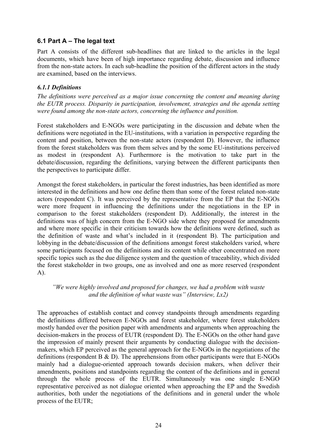## **6.1 Part A – The legal text**

Part A consists of the different sub-headlines that are linked to the articles in the legal documents, which have been of high importance regarding debate, discussion and influence from the non-state actors. In each sub-headline the position of the different actors in the study are examined, based on the interviews.

### *6.1.1 Definitions*

*The definitions were perceived as a major issue concerning the content and meaning during the EUTR process. Disparity in participation, involvement, strategies and the agenda setting were found among the non-state actors, concerning the influence and position.* 

Forest stakeholders and E-NGOs were participating in the discussion and debate when the definitions were negotiated in the EU-institutions, with a variation in perspective regarding the content and position, between the non-state actors (respondent D). However, the influence from the forest stakeholders was from them selves and by the some EU-institutions perceived as modest in (respondent A). Furthermore is the motivation to take part in the debate/discussion, regarding the definitions, varying between the different participants then the perspectives to participate differ.

Amongst the forest stakeholders, in particular the forest industries, has been identified as more interested in the definitions and how one define them than some of the forest related non-state actors (respondent C). It was perceived by the representative from the EP that the E-NGOs were more frequent in influencing the definitions under the negotiations in the EP in comparison to the forest stakeholders (respondent D). Additionally, the interest in the definitions was of high concern from the E-NGO side where they proposed for amendments and where more specific in their criticism towards how the definitions were defined, such as the definition of waste and what's included in it (respondent B). The participation and lobbying in the debate/discussion of the definitions amongst forest stakeholders varied, where some participants focused on the definitions and its content while other concentrated on more specific topics such as the due diligence system and the question of traceability, which divided the forest stakeholder in two groups, one as involved and one as more reserved (respondent A).

### *"We were highly involved and proposed for changes, we had a problem with waste and the definition of what waste was" (Interview, Lx2)*

The approaches of establish contact and convey standpoints through amendments regarding the definitions differed between E-NGOs and forest stakeholder, where forest stakeholders mostly handed over the position paper with amendments and arguments when approaching the decision-makers in the process of EUTR (respondent D). The E-NGOs on the other hand gave the impression of mainly present their arguments by conducting dialogue with the decisionmakers, which EP perceived as the general approach for the E-NGOs in the negotiations of the definitions (respondent B & D). The apprehensions from other participants were that E-NGOs mainly had a dialogue-oriented approach towards decision makers, when deliver their amendments, positions and standpoints regarding the content of the definitions and in general through the whole process of the EUTR. Simultaneously was one single E-NGO representative perceived as not dialogue oriented when approaching the EP and the Swedish authorities, both under the negotiations of the definitions and in general under the whole process of the EUTR;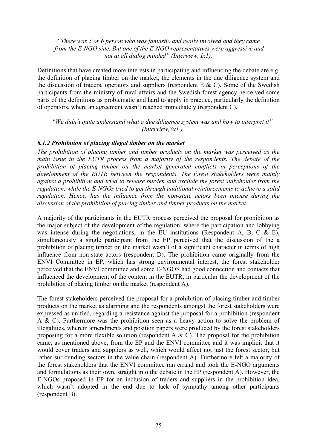#### *"There was 5 or 6 person who was fantastic and really involved and they came from the E-NGO side. But one of the E-NGO representatives were aggressive and not at all dialog minded" (Interview, Ix1).*

Definitions that have created more interests in participating and influencing the debate are e.g. the definition of placing timber on the market, the elements in the due diligence system and the discussion of traders, operators and suppliers (respondent  $E \& C$ ). Some of the Swedish participants from the ministry of rural affairs and the Swedish forest agency perceived some parts of the definitions as problematic and hard to apply in practice, particularly the definition of operators, where an agreement wasn't reached immediately (respondent C).

*"We didn't quite understand what a due diligence system was and how to interpret it" (Interview,Sx1 )* 

#### *6.1.2 Prohibition of placing illegal timber on the market*

*The prohibition of placing timber and timber products on the market was perceived as the main issue in the EUTR process from a majority of the respondents. The debate of the prohibition of placing timber on the market generated conflicts in perceptions of the development of the EUTR between the respondents. The forest stakeholders were mainly against a prohibition and tried to release burden and exclude the forest stakeholder from the regulation, while the E-NGOs tried to get through additional reinforcements to achieve a solid regulation. Hence, has the influence from the non-state actors been intense during the discussion of the prohibition of placing timber and timber products on the market.* 

A majority of the participants in the EUTR process perceived the proposal for prohibition as the major subject of the development of the regulation, where the participation and lobbying was intense during the negotiations, in the EU institutions (Respondent A, B, C & E), simultaneously a single participant from the EP perceived that the discussion of the a prohibition of placing timber on the market wasn't of a significant character in terms of high influence from non-state actors (respondent D). The prohibition came originally from the ENVI Committee in EP, which has strong environmental interest, the forest stakeholder perceived that the ENVI committee and some E-NGOS had good connection and contacts that influenced the development of the content in the EUTR, in particular the development of the prohibition of placing timber on the market (respondent A).

The forest stakeholders perceived the proposal for a prohibition of placing timber and timber products on the market as alarming and the respondents amongst the forest stakeholders were expressed as unified, regarding a resistance against the proposal for a prohibition (respondent A & C). Furthermore was the prohibition seen as a heavy action to solve the problem of illegalities, wherein amendments and position papers were produced by the forest stakeholders proposing for a more flexible solution (respondent A  $\&$  C). The proposal for the prohibition came, as mentioned above, from the EP and the ENVI committee and it was implicit that it would cover traders and suppliers as well, which would affect not just the forest sector, but rather surrounding sectors in the value chain (respondent A). Furthermore felt a majority of the forest stakeholders that the ENVI committee ran errand and took the E-NGO arguments and formulations as their own, straight into the debate in the EP (respondent A). However, the E-NGOs proposed in EP for an inclusion of traders and suppliers in the prohibition idea, which wasn't adopted in the end due to lack of sympathy among other participants (respondent B).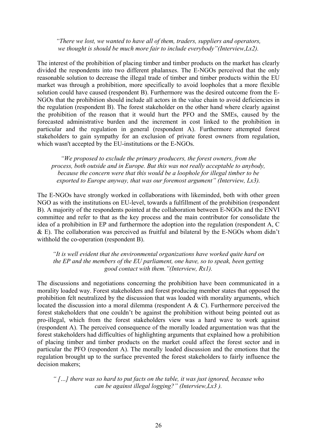*"There we lost, we wanted to have all of them, traders, suppliers and operators, we thought is should be much more fair to include everybody"(Interview,Lx2).* 

The interest of the prohibition of placing timber and timber products on the market has clearly divided the respondents into two different phalanxes. The E-NGOs perceived that the only reasonable solution to decrease the illegal trade of timber and timber products within the EU market was through a prohibition, more specifically to avoid loopholes that a more flexible solution could have caused (respondent B). Furthermore was the desired outcome from the E-NGOs that the prohibition should include all actors in the value chain to avoid deficiencies in the regulation (respondent B). The forest stakeholder on the other hand where clearly against the prohibition of the reason that it would hurt the PFO and the SMEs, caused by the forecasted administrative burden and the increment in cost linked to the prohibition in particular and the regulation in general (respondent A). Furthermore attempted forest stakeholders to gain sympathy for an exclusion of private forest owners from regulation, which wasn't accepted by the EU-institutions or the E-NGOs.

*"We proposed to exclude the primary producers, the forest owners, from the process, both outside and in Europe. But this was not really acceptable to anybody, because the concern were that this would be a loophole for illegal timber to be exported to Europe anyway, that was our foremost argument" (Interview, Lx3).* 

The E-NGOs have strongly worked in collaborations with likeminded, both with other green NGO as with the institutions on EU-level, towards a fulfillment of the prohibition (respondent B). A majority of the respondents pointed at the collaboration between E-NGOs and the ENVI committee and refer to that as the key process and the main contributor for consolidate the idea of a prohibition in EP and furthermore the adoption into the regulation (respondent A, C & E). The collaboration was perceived as fruitful and bilateral by the E-NGOs whom didn't withhold the co-operation (respondent B).

*"It is well evident that the environmental organizations have worked quite hard on the EP and the members of the EU parliament, one have, so to speak, been getting good contact with them."(Interview, Rx1).* 

The discussions and negotiations concerning the prohibition have been communicated in a morality loaded way. Forest stakeholders and forest producing member states that opposed the prohibition felt neutralized by the discussion that was loaded with morality arguments, which located the discussion into a moral dilemma (respondent A & C). Furthermore perceived the forest stakeholders that one couldn't be against the prohibition without being pointed out as pro-illegal, which from the forest stakeholders view was a hard wave to work against (respondent A). The perceived consequence of the morally loaded argumentation was that the forest stakeholders had difficulties of highlighting arguments that explained how a prohibition of placing timber and timber products on the market could affect the forest sector and in particular the PFO (respondent A). The morally loaded discussion and the emotions that the regulation brought up to the surface prevented the forest stakeholders to fairly influence the decision makers;

*" […] there was so hard to put facts on the table, it was just ignored, because who can be against illegal logging?" (Interview,Lx3 ).*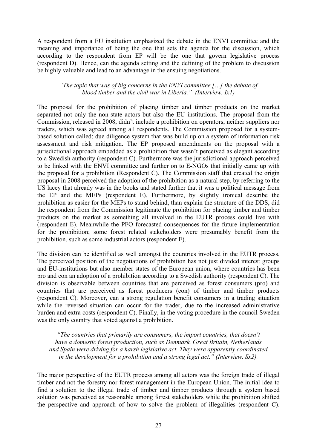A respondent from a EU institution emphasized the debate in the ENVI committee and the meaning and importance of being the one that sets the agenda for the discussion, which according to the respondent from EP will be the one that govern legislative process (respondent D). Hence, can the agenda setting and the defining of the problem to discussion be highly valuable and lead to an advantage in the ensuing negotiations.

#### *"The topic that was of big concerns in the ENVI committee […] the debate of blood timber and the civil war in Liberia." (Interview, Ix1)*

The proposal for the prohibition of placing timber and timber products on the market separated not only the non-state actors but also the EU institutions. The proposal from the Commission, released in 2008, didn't include a prohibition on operators, neither suppliers nor traders, which was agreed among all respondents. The Commission proposed for a systembased solution called; due diligence system that was build up on a system of information risk assessment and risk mitigation. The EP proposed amendments on the proposal with a jurisdictional approach embedded as a prohibition that wasn't perceived as elegant according to a Swedish authority (respondent C). Furthermore was the jurisdictional approach perceived to be linked with the ENVI committee and further on to E-NGOs that initially came up with the proposal for a prohibition (Respondent C). The Commission staff that created the origin proposal in 2008 perceived the adoption of the prohibition as a natural step, by referring to the US lacey that already was in the books and stated further that it was a political message from the EP and the MEPs (respondent E). Furthermore, by slightly ironical describe the prohibition as easier for the MEPs to stand behind, than explain the structure of the DDS, did the respondent from the Commission legitimate the prohibition for placing timber and timber products on the market as something all involved in the EUTR process could live with (respondent E). Meanwhile the PFO forecasted consequences for the future implementation for the prohibition; some forest related stakeholders were presumably benefit from the prohibition, such as some industrial actors (respondent E).

The division can be identified as well amongst the countries involved in the EUTR process. The perceived position of the negotiations of prohibition has not just divided interest groups and EU-institutions but also member states of the European union, where countries has been pro and con an adoption of a prohibition according to a Swedish authority (respondent C). The division is observable between countries that are perceived as forest consumers (pro) and countries that are perceived as forest producers (con) of timber and timber products (respondent C). Moreover, can a strong regulation benefit consumers in a trading situation while the reversed situation can occur for the trader, due to the increased administrative burden and extra costs (respondent C). Finally, in the voting procedure in the council Sweden was the only country that voted against a prohibition.

*"The countries that primarily are consumers, the import countries, that doesn't have a domestic forest production, such as Denmark, Great Britain, Netherlands and Spain were driving for a harsh legislative act. They were apparently coordinated in the development for a prohibition and a strong legal act." (Interview, Sx2).* 

The major perspective of the EUTR process among all actors was the foreign trade of illegal timber and not the forestry nor forest management in the European Union. The initial idea to find a solution to the illegal trade of timber and timber products through a system based solution was perceived as reasonable among forest stakeholders while the prohibition shifted the perspective and approach of how to solve the problem of illegalities (respondent C).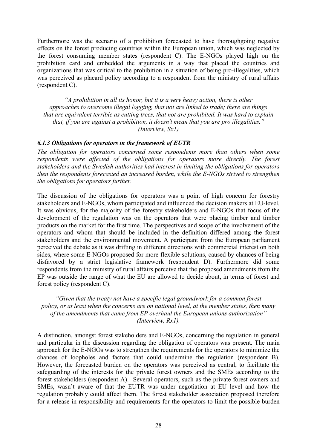Furthermore was the scenario of a prohibition forecasted to have thoroughgoing negative effects on the forest producing countries within the European union, which was neglected by the forest consuming member states (respondent C). The E-NGOs played high on the prohibition card and embedded the arguments in a way that placed the countries and organizations that was critical to the prohibition in a situation of being pro-illegalities, which was perceived as placard policy according to a respondent from the ministry of rural affairs (respondent C).

*"A prohibition in all its honor, but it is a very heavy action, there is other approaches to overcome illegal logging, that not are linked to trade; there are things that are equivalent terrible as cutting trees, that not are prohibited. It was hard to explain that, if you are against a prohibition, it doesn't mean that you are pro illegalities." (Interview, Sx1)* 

#### *6.1.3 Obligations for operators in the framework of EUTR*

*The obligation for operators concerned some respondents more than others when some respondents were affected of the obligations for operators more directly. The forest stakeholders and the Swedish authorities had interest in limiting the obligations for operators then the respondents forecasted an increased burden, while the E-NGOs strived to strengthen the obligations for operators further.* 

The discussion of the obligations for operators was a point of high concern for forestry stakeholders and E-NGOs, whom participated and influenced the decision makers at EU-level. It was obvious, for the majority of the forestry stakeholders and E-NGOs that focus of the development of the regulation was on the operators that were placing timber and timber products on the market for the first time. The perspectives and scope of the involvement of the operators and whom that should be included in the definition differed among the forest stakeholders and the environmental movement. A participant from the European parliament perceived the debate as it was drifting in different directions with commercial interest on both sides, where some E-NGOs proposed for more flexible solutions, caused by chances of being disfavored by a strict legislative framework (respondent D). Furthermore did some respondents from the ministry of rural affairs perceive that the proposed amendments from the EP was outside the range of what the EU are allowed to decide about, in terms of forest and forest policy (respondent C).

*"Given that the treaty not have a specific legal groundwork for a common forest policy, or at least when the concerns are on national level, at the member states, then many of the amendments that came from EP overhaul the European unions authorization" (Interview, Rx1).* 

A distinction, amongst forest stakeholders and E-NGOs, concerning the regulation in general and particular in the discussion regarding the obligation of operators was present. The main approach for the E-NGOs was to strengthen the requirements for the operators to minimize the chances of loopholes and factors that could undermine the regulation (respondent B). However, the forecasted burden on the operators was perceived as central, to facilitate the safeguarding of the interests for the private forest owners and the SMEs according to the forest stakeholders (respondent A). Several operators, such as the private forest owners and SMEs, wasn't aware of that the EUTR was under negotiation at EU level and how the regulation probably could affect them. The forest stakeholder association proposed therefore for a release in responsibility and requirements for the operators to limit the possible burden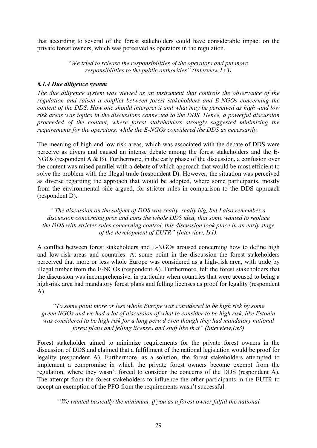that according to several of the forest stakeholders could have considerable impact on the private forest owners, which was perceived as operators in the regulation.

> "*We tried to release the responsibilities of the operators and put more responsibilities to the public authorities" (Interview,Lx3)*

#### *6.1.4 Due diligence system*

*The due diligence system was viewed as an instrument that controls the observance of the regulation and raised a conflict between forest stakeholders and E-NGOs concerning the content of the DDS. How one should interpret it and what may be perceived as high -and low risk areas was topics in the discussions connected to the DDS. Hence, a powerful discussion proceeded of the content, where forest stakeholders strongly suggested minimizing the requirements for the operators, while the E-NGOs considered the DDS as necessarily.* 

The meaning of high and low risk areas, which was associated with the debate of DDS were perceive as divers and caused an intense debate among the forest stakeholders and the E-NGOs (respondent A & B). Furthermore, in the early phase of the discussion, a confusion over the content was raised parallel with a debate of which approach that would be most efficient to solve the problem with the illegal trade (respondent D). However, the situation was perceived as diverse regarding the approach that would be adopted, where some participants, mostly from the environmental side argued, for stricter rules in comparison to the DDS approach (respondent D).

*"The discussion on the subject of DDS was really, really big, but I also remember a discussion concerning pros and cons the whole DDS idea, that some wanted to replace the DDS with stricter rules concerning control, this discussion took place in an early stage of the development of EUTR" (Interview, Ix1).* 

A conflict between forest stakeholders and E-NGOs aroused concerning how to define high and low-risk areas and countries. At some point in the discussion the forest stakeholders perceived that more or less whole Europe was considered as a high-risk area, with trade by illegal timber from the E-NGOs (respondent A). Furthermore, felt the forest stakeholders that the discussion was incomprehensive, in particular when countries that were accused to being a high-risk area had mandatory forest plans and felling licenses as proof for legality (respondent A).

*"To some point more or less whole Europe was considered to be high risk by some green NGOs and we had a lot of discussion of what to consider to be high risk, like Estonia was considered to be high risk for a long period even though they had mandatory national forest plans and felling licenses and stuff like that" (Interview,Lx3)* 

Forest stakeholder aimed to minimize requirements for the private forest owners in the discussion of DDS and claimed that a fulfillment of the national legislation would be proof for legality (respondent A). Furthermore, as a solution, the forest stakeholders attempted to implement a compromise in which the private forest owners become exempt from the regulation, where they wasn't forced to consider the concerns of the DDS (respondent A). The attempt from the forest stakeholders to influence the other participants in the EUTR to accept an exemption of the PFO from the requirements wasn't successful.

*"We wanted basically the minimum, if you as a forest owner fulfill the national*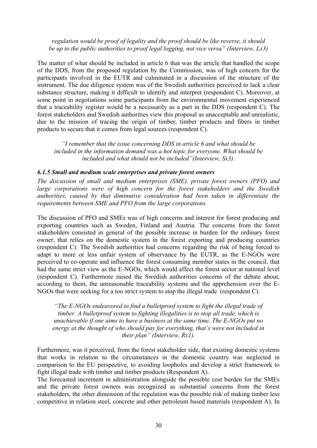*regulation would be proof of legality and the proof should be like reverse, it should be up to the public authorities to proof legal logging, not vice versa" (Interview, Lx3)* 

The matter of what should be included in article 6 that was the article that handled the scope of the DDS, from the proposed regulation by the Commission, was of high concern for the participants involved in the EUTR and culminated in a discussion of the structure of the instrument. The due diligence system was of the Swedish authorities perceived to lack a clear substance structure, making it difficult to identify and interpret (respondent C). Moreover, at some point in negotiations some participants from the environmental movement experienced that a traceability register would be a necessarily as a part in the DDS (respondent C). The forest stakeholders and Swedish authorities view this proposal as unacceptable and unrealistic, due to the mission of tracing the origin of timber, timber products and fibers in timber products to secure that it comes from legal sources (respondent C).

*"I remember that the issue concerning DDS in article 6 and what should be included in the information demand was a hot topic for everyone. What should be included and what should not be included"(Interview, Sx3).* 

#### *6.1.5 Small and medium scale enterprises and private forest owners*

*The discussion of small and medium enterprises (SME), private forest owners (PFO) and large corporations were of high concern for the forest stakeholders and the Swedish authorities, caused by that diminutive consideration had been taken in differentiate the requirements between SME and PFO from the large corporations.* 

The discussion of PFO and SMEs was of high concerns and interest for forest producing and exporting countries such as Sweden, Finland and Austria. The concerns from the forest stakeholders consisted in general of the possible increase in burden for the ordinary forest owner, that relies on the domestic system in the forest exporting and producing countries (respondent C). The Swedish authorities had concerns regarding the risk of being forced to adapt to more or less unfair system of observance by the EUTR, as the E-NGOs were perceived to co-operate and influence the forest consuming member states in the council, that had the same strict view as the E-NGOs, which would affect the forest sector at national level (respondent C). Furthermore raised the Swedish authorities concerns of the debate about, according to them, the unreasonable traceability systems and the apprehension over the E-NGOs that were seeking for a too strict system to stop the illegal trade (respondent C).

*"The E-NGOs endeavored to find a bulletproof system to fight the illegal trade of timber. A bulletproof system to fighting illegalities is to stop all trade, which is unachievable if one aims to have a business at the same time. The E-NGOs put no energy at the thought of who should pay for everything, that's were not included in their plan" (Interview, Rx1).* 

Furthermore, was it perceived, from the forest stakeholder side, that existing domestic systems that works in relation to the circumstances in the domestic country was neglected in comparison to the EU perspective, to avoiding loopholes and develop a strict framework to fight illegal trade with timber and timber products (Respondent A).

The forecasted increment in administration alongside the possible cost burden for the SMEs and the private forest owners was recognized as substantial concerns from the forest stakeholders, the other dimension of the regulation was the possible risk of making timber less competitive in relation steel, concrete and other petroleum based materials (respondent A). In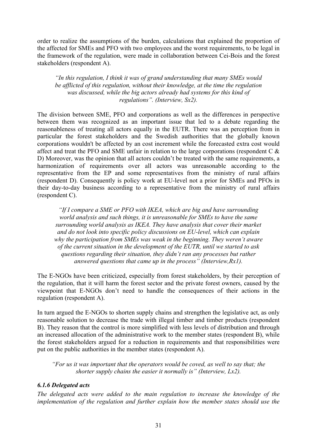order to realize the assumptions of the burden, calculations that explained the proportion of the affected for SMEs and PFO with two employees and the worst requirements, to be legal in the framework of the regulation, were made in collaboration between Cei-Bois and the forest stakeholders (respondent A).

*"In this regulation, I think it was of grand understanding that many SMEs would be afflicted of this regulation, without their knowledge, at the time the regulation was discussed, while the big actors already had systems for this kind of regulations". (Interview, Sx2).* 

The division between SME, PFO and corporations as well as the differences in perspective between them was recognized as an important issue that led to a debate regarding the reasonableness of treating all actors equally in the EUTR. There was an perception from in particular the forest stakeholders and the Swedish authorities that the globally known corporations wouldn't be affected by an cost increment while the forecasted extra cost would affect and treat the PFO and SME unfair in relation to the large corporations (respondent C & D) Moreover, was the opinion that all actors couldn't be treated with the same requirements, a harmonization of requirements over all actors was unreasonable according to the representative from the EP and some representatives from the ministry of rural affairs (respondent D). Consequently is policy work at EU-level not a prior for SMEs and PFOs in their day-to-day business according to a representative from the ministry of rural affairs (respondent C).

*"If I compare a SME or PFO with IKEA, which are big and have surrounding world analysis and such things, it is unreasonable for SMEs to have the same surrounding world analysis as IKEA. They have analysis that cover their market and do not look into specific policy discussions on EU-level, which can explain why the participation from SMEs was weak in the beginning. They weren't aware of the current situation in the development of the EUTR, until we started to ask questions regarding their situation, they didn't ran any processes but rather answered questions that came up in the process" (Interview,Rx1).* 

The E-NGOs have been criticized, especially from forest stakeholders, by their perception of the regulation, that it will harm the forest sector and the private forest owners, caused by the viewpoint that E-NGOs don't need to handle the consequences of their actions in the regulation (respondent A).

In turn argued the E-NGOs to shorten supply chains and strengthen the legislative act, as only reasonable solution to decrease the trade with illegal timber and timber products (respondent B). They reason that the control is more simplified with less levels of distribution and through an increased allocation of the administrative work to the member states (respondent B), while the forest stakeholders argued for a reduction in requirements and that responsibilities were put on the public authorities in the member states (respondent A).

*"For us it was important that the operators would be coved, as well to say that; the shorter supply chains the easier it normally is" (Interview, Lx2).* 

### *6.1.6 Delegated acts*

*The delegated acts were added to the main regulation to increase the knowledge of the implementation of the regulation and further explain how the member states should use the*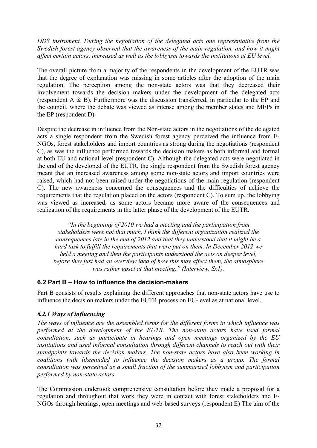*DDS instrument. During the negotiation of the delegated acts one representative from the Swedish forest agency observed that the awareness of the main regulation, and how it might affect certain actors, increased as well as the lobbyism towards the institutions at EU level.* 

The overall picture from a majority of the respondents in the development of the EUTR was that the degree of explanation was missing in some articles after the adoption of the main regulation. The perception among the non-state actors was that they decreased their involvement towards the decision makers under the development of the delegated acts (respondent A & B). Furthermore was the discussion transferred, in particular to the EP and the council, where the debate was viewed as intense among the member states and MEPs in the EP (respondent D).

Despite the decrease in influence from the Non-state actors in the negotiations of the delegated acts a single respondent from the Swedish forest agency perceived the influence from E-NGOs, forest stakeholders and import countries as strong during the negotiations (respondent C), as was the influence performed towards the decision makers as both informal and formal at both EU and national level (respondent C). Although the delegated acts were negotiated in the end of the developed of the EUTR, the single respondent from the Swedish forest agency meant that an increased awareness among some non-state actors and import countries were raised, which had not been raised under the negotiations of the main regulation (respondent C). The new awareness concerned the consequences and the difficulties of achieve the requirements that the regulation placed on the actors (respondent C). To sum up, the lobbying was viewed as increased, as some actors became more aware of the consequences and realization of the requirements in the latter phase of the development of the EUTR.

*"In the beginning of 2010 we had a meeting and the participation from stakeholders were not that much, I think the different organization realized the consequences late in the end of 2012 and that they understood that it might be a hard task to fulfill the requirements that were put on them. In December 2012 we held a meeting and then the participants understood the acts on deeper level, before they just had an overview idea of how this may affect them, the atmosphere was rather upset at that meeting." (Interview, Sx1).* 

## **6.2 Part B – How to influence the decision-makers**

Part B consists of results explaining the different approaches that non-state actors have use to influence the decision makers under the EUTR process on EU-level as at national level.

### *6.2.1 Ways of influencing*

*The ways of influence are the assembled terms for the different forms in which influence was performed at the development of the EUTR. The non-state actors have used formal consultation, such as participate in hearings and open meetings organized by the EU institutions and used informal consultation through different channels to reach out with their standpoints towards the decision makers. The non-state actors have also been working in coalitions with likeminded to influence the decision makers as a group. The formal consultation was perceived as a small fraction of the summarized lobbyism and participation performed by non-state actors.* 

The Commission undertook comprehensive consultation before they made a proposal for a regulation and throughout that work they were in contact with forest stakeholders and E-NGOs through hearings, open meetings and web-based surveys (respondent E) The aim of the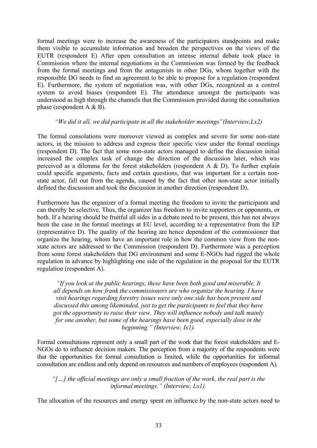formal meetings were to increase the awareness of the participators standpoints and make them visible to accumulate information and broaden the perspectives on the views of the EUTR (respondent E) After open consultation an intense internal debate took place in Commission where the internal negotiations in the Commission was formed by the feedback from the formal meetings and from the antagonists in other DGs, whom together with the responsible DG needs to find an agreement to be able to propose for a regulation (respondent E). Furthermore, the system of negotiation was, with other DGs, recognized as a control system to avoid biases (respondent E). The attendance amongst the participants was understood as high through the channels that the Commission provided during the consultation phase (respondent A & B).

#### *"We did it all, we did participate in all the stakeholder meetings"(Interview,Lx2)*

The formal consolations were moreover viewed as complex and severe for some non-state actors, in the mission to address and express their specific view under the formal meetings (respondent D). The fact that some non-state actors managed to define the discussion initial increased the complex task of change the direction of the discussion later, which was perceived as a dilemma for the forest stakeholders (respondent A  $\&$  D). To further explain could specific arguments, facts and certain questions, that was important for a certain nonstate actor, fall out from the agenda, caused by the fact that other non-state actor initially defined the discussion and took the discussion in another direction (respondent D).

Furthermore has the organizer of a formal meeting the freedom to invite the participants and can thereby be selective. Thus, the organizer has freedom to invite supporters or opponents, or both. If a hearing should be fruitful all sides in a debate need to be present, this has not always been the case in the formal meetings at EU level, according to a representative from the EP (representative D). The quality of the hearing are hence dependent of the commissioner that organize the hearing, whom have an important role in how the common view from the nonstate actors are addressed to the Commission (respondent D). Furthermore was a perception from some forest stakeholders that DG environment and some E-NGOs had rigged the whole regulation in advance by highlighting one side of the regulation in the proposal for the EUTR regulation (respondent A).

*"If you look at the public hearings, these have been both good and miserable. It all depends on how frank the commissioners are who organize the hearing. I have visit hearings regarding forestry issues were only one side has been present and discussed this among likeminded, just to get the participants to feel that they have got the opportunity to raise their view. They will influence nobody and talk mainly for one another, but some of the hearings have been good, especially dose in the beginning." (Interview, Ix1).* 

Formal consultations represent only a small part of the work that the forest stakeholders and E-NGOs do to influence decision makers. The perception from a majority of the respondents were that the opportunities for formal consultation is limited, while the opportunities for informal consultation are endless and only depend on resources and numbers of employees (respondent A).

*"[…] the official meetings are only a small fraction of the work, the real part is the informal meetings." (Interview, Lx1).* 

The allocation of the resources and energy spent on influence by the non-state actors need to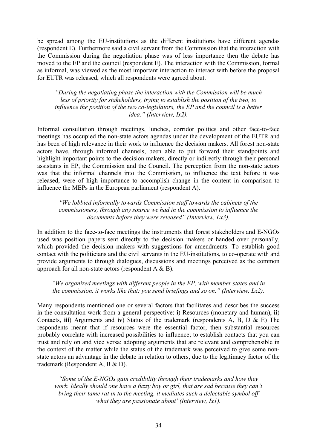be spread among the EU-institutions as the different institutions have different agendas (respondent E). Furthermore said a civil servant from the Commission that the interaction with the Commission during the negotiation phase was of less importance then the debate has moved to the EP and the council (respondent E). The interaction with the Commission, formal as informal, was viewed as the most important interaction to interact with before the proposal for EUTR was released, which all respondents were agreed about.

*"During the negotiating phase the interaction with the Commission will be much less of priority for stakeholders, trying to establish the position of the two, to influence the position of the two co-legislators, the EP and the council is a better idea." (Interview, Ix2).* 

Informal consultation through meetings, lunches, corridor politics and other face-to-face meetings has occupied the non-state actors agendas under the development of the EUTR and has been of high relevance in their work to influence the decision makers. All forest non-state actors have, through informal channels, been able to put forward their standpoints and highlight important points to the decision makers, directly or indirectly through their personal assistants in EP, the Commission and the Council. The perception from the non-state actors was that the informal channels into the Commission, to influence the text before it was released, were of high importance to accomplish change in the content in comparison to influence the MEPs in the European parliament (respondent A).

*"We lobbied informally towards Commission staff towards the cabinets of the commissioners, through any source we had in the commission to influence the documents before they were released" (Interview, Lx3).* 

In addition to the face-to-face meetings the instruments that forest stakeholders and E-NGOs used was position papers sent directly to the decision makers or handed over personally, which provided the decision makers with suggestions for amendments. To establish good contact with the politicians and the civil servants in the EU-institutions, to co-operate with and provide arguments to through dialogues, discussions and meetings perceived as the common approach for all non-state actors (respondent A & B).

*"We organized meetings with different people in the EP, with member states and in the commission, it works like that: you send briefings and so on." (Interview, Lx2).* 

Many respondents mentioned one or several factors that facilitates and describes the success in the consultation work from a general perspective: **i**) Resources (monetary and human), **ii**) Contacts, **iii**) Arguments and **iv**) Status of the trademark (respondents A, B, D & E) The respondents meant that if resources were the essential factor, then substantial resources probably correlate with increased possibilities to influence; to establish contacts that you can trust and rely on and vice versa; adopting arguments that are relevant and comprehensible in the context of the matter while the status of the trademark was perceived to give some nonstate actors an advantage in the debate in relation to others, due to the legitimacy factor of the trademark (Respondent A, B & D).

*"Some of the E-NGOs gain credibility through their trademarks and how they work. Ideally should one have a fuzzy boy or girl, that are sad because they can't bring their tame rat in to the meeting, it mediates such a delectable symbol off what they are passionate about"(Interview, Ix1).*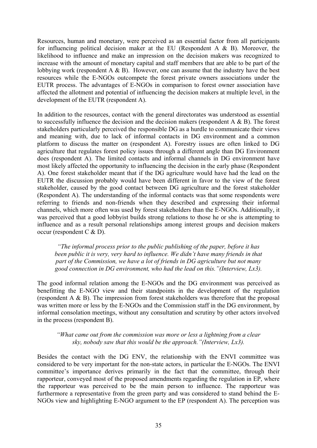Resources, human and monetary, were perceived as an essential factor from all participants for influencing political decision maker at the EU (Respondent A & B). Moreover, the likelihood to influence and make an impression on the decision makers was recognized to increase with the amount of monetary capital and staff members that are able to be part of the lobbying work (respondent A & B). However, one can assume that the industry have the best resources while the E-NGOs outcompete the forest private owners associations under the EUTR process. The advantages of E-NGOs in comparison to forest owner association have affected the allotment and potential of influencing the decision makers at multiple level, in the development of the EUTR (respondent A).

In addition to the resources, contact with the general directorates was understood as essential to successfully influence the decision and the decision makers (respondent A & B). The forest stakeholders particularly perceived the responsible DG as a hurdle to communicate their views and meaning with, due to lack of informal contacts in DG environment and a common platform to discuss the matter on (respondent A). Forestry issues are often linked to DG agriculture that regulates forest policy issues through a different angle than DG Environment does (respondent A). The limited contacts and informal channels in DG environment have most likely affected the opportunity to influencing the decision in the early phase (Respondent A). One forest stakeholder meant that if the DG agriculture would have had the lead on the EUTR the discussion probably would have been different in favor to the view of the forest stakeholder, caused by the good contact between DG agriculture and the forest stakeholder (Respondent A). The understanding of the informal contacts was that some respondents were referring to friends and non-friends when they described and expressing their informal channels, which more often was used by forest stakeholders than the E-NGOs. Additionally, it was perceived that a good lobbyist builds strong relations to those he or she is attempting to influence and as a result personal relationships among interest groups and decision makers occur (respondent C & D).

*"The informal process prior to the public publishing of the paper, before it has been public it is very, very hard to influence. We didn't have many friends in that part of the Commission, we have a lot of friends in DG agriculture but not many good connection in DG environment, who had the lead on this."(Interview, Lx3).* 

The good informal relation among the E-NGOs and the DG environment was perceived as benefitting the E-NGO view and their standpoints in the development of the regulation (respondent A & B). The impression from forest stakeholders was therefore that the proposal was written more or less by the E-NGOs and the Commission staff in the DG environment, by informal consolation meetings, without any consultation and scrutiny by other actors involved in the process (respondent B).

### *"What came out from the commission was more or less a lightning from a clear sky, nobody saw that this would be the approach."(Interview, Lx3).*

Besides the contact with the DG ENV, the relationship with the ENVI committee was considered to be very important for the non-state actors, in particular the E-NGOs. The ENVI committee's importance derives primarily in the fact that the committee, through their rapporteur, conveyed most of the proposed amendments regarding the regulation in EP, where the rapporteur was perceived to be the main person to influence. The rapporteur was furthermore a representative from the green party and was considered to stand behind the E-NGOs view and highlighting E-NGO argument to the EP (respondent A). The perception was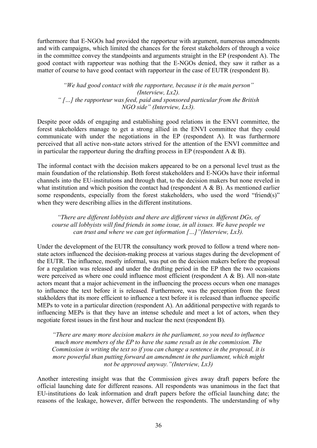furthermore that E-NGOs had provided the rapporteur with argument, numerous amendments and with campaigns, which limited the chances for the forest stakeholders of through a voice in the committee convey the standpoints and arguments straight in the EP (respondent A). The good contact with rapporteur was nothing that the E-NGOs denied, they saw it rather as a matter of course to have good contact with rapporteur in the case of EUTR (respondent B).

*"We had good contact with the rapporture, because it is the main person" (Interview, Lx2). " […] the rapporteur was feed, paid and sponsored particular from the British NGO side" (Interview, Lx3).* 

Despite poor odds of engaging and establishing good relations in the ENVI committee, the forest stakeholders manage to get a strong allied in the ENVI committee that they could communicate with under the negotiations in the EP (respondent A). It was furthermore perceived that all active non-state actors strived for the attention of the ENVI committee and in particular the rapporteur during the drafting process in EP (respondent  $A \& B$ ).

The informal contact with the decision makers appeared to be on a personal level trust as the main foundation of the relationship. Both forest stakeholders and E-NGOs have their informal channels into the EU-institutions and through that, to the decision makers but none reveled in what institution and which position the contact had (respondent A & B). As mentioned earlier some respondents, especially from the forest stakeholders, who used the word "friend(s)" when they were describing allies in the different institutions.

*"There are different lobbyists and there are different views in different DGs, of course all lobbyists will find friends in some issue, in all issues. We have people we can trust and where we can get information […]"(Interview, Lx3).* 

Under the development of the EUTR the consultancy work proved to follow a trend where nonstate actors influenced the decision-making process at various stages during the development of the EUTR. The influence, mostly informal, was put on the decision makers before the proposal for a regulation was released and under the drafting period in the EP then the two occasions were perceived as where one could influence most efficient (respondent A & B). All non-state actors meant that a major achievement in the influencing the process occurs when one manages to influence the text before it is released. Furthermore, was the perception from the forest stakholders that its more efficient to influence a text before it is released than influence specific MEPs to vote in a particular direction (respondent A). An additional perspective with regards to influencing MEPs is that they have an intense schedule and meet a lot of actors, when they negotiate forest issues in the first hour and nuclear the next (respondent B).

*"There are many more decision makers in the parliament, so you need to influence much more members of the EP to have the same result as in the commission. The Commission is writing the text so if you can change a sentence in the proposal, it is more powerful than putting forward an amendment in the parliament, which might not be approved anyway."(Interview, Lx3)*

Another interesting insight was that the Commission gives away draft papers before the official launching date for different reasons. All respondents was unanimous in the fact that EU-institutions do leak information and draft papers before the official launching date; the reasons of the leakage, however, differ between the respondents. The understanding of why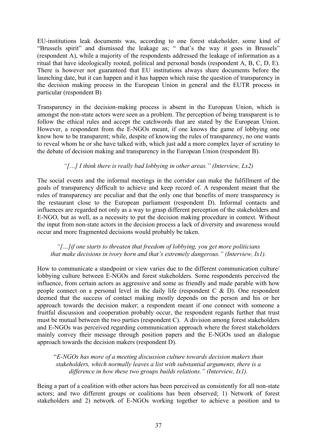EU-institutions leak documents was, according to one forest stakeholder, some kind of "Brussels spirit" and dismissed the leakage as; " that's the way it goes in Brussels" (respondent A), while a majority of the respondents addressed the leakage of information as a ritual that have ideologically rooted, political and personal bonds (respondent A, B, C, D, E). There is however not guaranteed that EU institutions always share documents before the launching date, but it can happen and it has happen which raise the question of transparency in the decision making process in the European Union in general and the EUTR process in particular (respondent B)

Transparency in the decision-making process is absent in the European Union, which is amongst the non-state actors were seen as a problem. The perception of being transparent is to follow the ethical rules and accept the catchwords that are stated by the European Union. However, a respondent from the E-NGOs meant, if one knows the game of lobbying one know how to be transparent; while, despite of knowing the rules of transparency, no one wants to reveal whom he or she have talked with, which just add a more complex layer of scrutiny to the debate of decision making and transparency in the European Union (respondent B).

## *"[…] I think there is really bad lobbying in other areas." (Interview, Lx2)*

The social events and the informal meetings in the corridor can make the fulfillment of the goals of transparency difficult to achieve and keep record of. A respondent meant that the rules of transparency are peculiar and that the only one that benefits of more transparency is the restaurant close to the European parliament (respondent D). Informal contacts and influences are regarded not only as a way to grasp different perception of the stakeholders and E-NGO, but as well, as a necessity to put the decision making procedure in context. Without the input from non-state actors in the decision process a lack of diversity and awareness would occur and more fragmented decisions would probably be taken.

#### *"[…]if one starts to threaten that freedom of lobbying, you get more politicians that make decisions in ivory horn and that's extremely dangerous." (Interview, Ix1).*

How to communicate a standpoint or view varies due to the different communication culture/ lobbying culture between E-NGOs and forest stakeholders. Some respondents perceived the influence, from certain actors as aggressive and some as friendly and made parable with how people connect on a personal level in the daily life (respondent C & D). One respondent deemed that the success of contact making mostly depends on the person and his or her approach towards the decision maker; a respondent meant if one connect with someone a fruitful discussion and cooperation probably occur, the respondent regards further that trust must be mutual between the two parties (respondent C). A division among forest stakeholders and E-NGOs was perceived regarding communication approach where the forest stakeholders mainly convey their message through position papers and the E-NGOs used an dialogue approach towards the decision makers (respondent D).

"*E-NGOs has more of a meeting discussion culture towards decision makers than stakeholders, which normally leaves a list with substantial arguments, there is a difference in how these two groups builds relations." (Interview, Ix1).* 

Being a part of a coalition with other actors has been perceived as consistently for all non-state actors; and two different groups or coalitions has been observed; 1) Network of forest stakeholders and 2) network of E-NGOs working together to achieve a position and to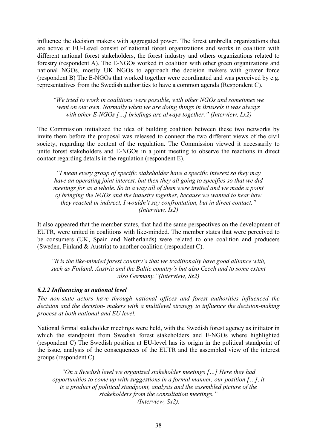influence the decision makers with aggregated power. The forest umbrella organizations that are active at EU-Level consist of national forest organizations and works in coalition with different national forest stakeholders, the forest industry and others organizations related to forestry (respondent A). The E-NGOs worked in coalition with other green organizations and national NGOs, mostly UK NGOs to approach the decision makers with greater force (respondent B) The E-NGOs that worked together were coordinated and was perceived by e.g. representatives from the Swedish authorities to have a common agenda (Respondent C).

*"We tried to work in coalitions were possible, with other NGOs and sometimes we went on our own. Normally when we are doing things in Brussels it was always with other E-NGOs […] briefings are always together." (Interview, Lx2)* 

The Commission initialized the idea of building coalition between these two networks by invite them before the proposal was released to connect the two different views of the civil society, regarding the content of the regulation. The Commission viewed it necessarily to unite forest stakeholders and E-NGOs in a joint meeting to observe the reactions in direct contact regarding details in the regulation (respondent E).

*"I mean every group of specific stakeholder have a specific interest so they may have an operating joint interest, but then they all going to specifics so that we did meetings for as a whole. So in a way all of them were invited and we made a point of bringing the NGOs and the industry together, because we wanted to hear how they reacted in indirect, I wouldn't say confrontation, but in direct contact." (Interview, Ix2)* 

It also appeared that the member states, that had the same perspectives on the development of EUTR, were united in coalitions with like-minded. The member states that were perceived to be consumers (UK, Spain and Netherlands) were related to one coalition and producers (Sweden, Finland & Austria) to another coalition (respondent C).

*"It is the like-minded forest country's that we traditionally have good alliance with, such as Finland, Austria and the Baltic country's but also Czech and to some extent also Germany."(Interview, Sx2)* 

### *6.2.2 Influencing at national level*

*The non-state actors have through national offices and forest authorities influenced the decision and the decision- makers with a multilevel strategy to influence the decision-making process at both national and EU level.* 

National formal stakeholder meetings were held, with the Swedish forest agency as initiator in which the standpoint from Swedish forest stakeholders and E-NGOs where highlighted (respondent C) The Swedish position at EU-level has its origin in the political standpoint of the issue, analysis of the consequences of the EUTR and the assembled view of the interest groups (respondent C).

*"On a Swedish level we organized stakeholder meetings […] Here they had opportunities to come up with suggestions in a formal manner, our position […], it is a product of political standpoint, analysis and the assembled picture of the stakeholders from the consultation meetings." (Interview, Sx2).*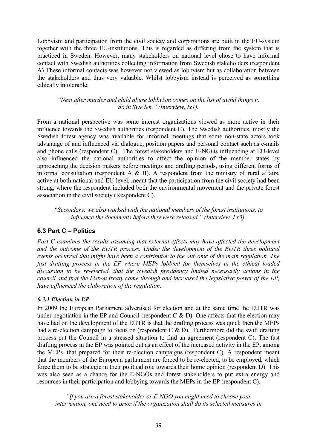Lobbyism and participation from the civil society and corporations are built in the EU-system together with the three EU-institutions. This is regarded as differing from the system that is practiced in Sweden. However, many stakeholders on national level chose to have informal contact with Swedish authorities collecting information from Swedish stakeholders (respondent A) These informal contacts was however not viewed as lobbyism but as collaboration between the stakeholders and thus very valuable. Whilst lobbyism instead is perceived as something ethically intolerable;

### *"Next after murder and child abuse lobbyism comes on the list of awful things to do in Sweden." (Interview, Ix1).*

From a national perspective was some interest organizations viewed as more active in their influence towards the Swedish authorities (respondent C). The Swedish authorities, mostly the Swedish forest agency was available for informal meetings that some non-state actors took advantage of and influenced via dialogue, position papers and personal contact such as e-mails and phone calls (respondent C). The forest stakeholders and E-NGOs influencing at EU-level also influenced the national authorities to affect the opinion of the member states by approaching the decision makers before meetings and drafting periods, using different forms of informal consultation (respondent A  $\&$  B). A respondent from the ministry of rural affairs, active at both national and EU-level, meant that the participation from the civil society had been strong, where the respondent included both the environmental movement and the private forest association in the civil society (Respondent C).

*"Secondary, we also worked with the national members of the forest institutions, to influence the documents before they were released." (Interview, Lx3).* 

## **6.3 Part C – Politics**

*Part C examines the results assuming that external effects may have affected the development and the outcome of the EUTR process. Under the development of the EUTR three political events occurred that might have been a contributor to the outcome of the main regulation. The fast drafting process in the EP where MEPs lobbied for themselves in the ethical loaded discussion to be re-elected, that the Swedish presidency limited necessarily actions in the council and that the Lisbon treaty came through and increased the legislative power of the EP, have influenced the elaboration of the regulation.* 

### *6.3.1 Election in EP*

In 2009 the European Parliament advertised for election and at the same time the EUTR was under negotiation in the EP and Council (respondent C  $\&$  D). One affects that the election may have had on the development of the EUTR is that the drafting process was quick then the MEPs had a re-election campaign to focus on (respondent C & D). Furthermore did the swift drafting process put the Council in a stressed situation to find an agreement (respondent C). The fast drafting process in the EP was pointed out as an effect of the increased activity in the EP, among the MEPs, that prepared for their re-election campaigns (respondent C). A respondent meant that the members of the European parliament are forced to be re-elected, to be employed, which force them to be strategic in their political role towards their home opinion (respondent D). This was also seen as a chance for the E-NGOs and forest stakeholders to put extra energy and resources in their participation and lobbying towards the MEPs in the EP (respondent C).

*"If you are a forest stakeholder or E-NGO you might need to choose your intervention, one need to prior if the organization shall do its selected measures in*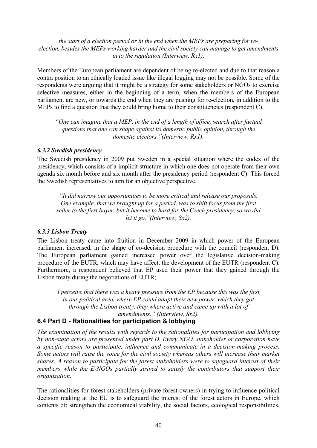#### *the start of a election period or in the end when the MEPs are preparing for reelection, besides the MEPs working harder and the civil society can manage to get amendments in to the regulation (Interview, Rx1).*

Members of the European parliament are dependent of being re-elected and due to that reason a contra position to an ethically loaded issue like illegal logging may not be possible. Some of the respondents were arguing that it might be a strategy for some stakeholders or NGOs to exercise selective measures, either in the beginning of a term, when the members of the European parliament are new, or towards the end when they are pushing for re-election, in addition to the MEPs to find a question that they could bring home to their constituencies (respondent C).

*"One can imagine that a MEP, in the end of a length of office, search after factual questions that one can shape against its domestic public opinion, through the domestic electors."(Interview, Rx1).*

#### *6.3.2 Swedish presidency*

The Swedish presidency in 2009 put Sweden in a special situation where the codex of the presidency, which consists of a implicit structure in which one does not operate from their own agenda six month before and six month after the presidency period (respondent C). This forced the Swedish representatives to aim for an objective perspective.

*"It did narrow our opportunities to be more critical and release our proposals. One example, that we brought up for a period, was to shift focus from the first seller to the first buyer, but it become to hard for the Czech presidency, so we did let it go."(Interview, Sx2).* 

### *6.3.3 Lisbon Treaty*

The Lisbon treaty came into fruition in December 2009 in which power of the European parliament increased, in the shape of co-decision procedure with the council (respondent D). The European parliament gained increased power over the legislative decision-making procedure of the EUTR, which may have affect, the development of the EUTR (respondent C). Furthermore, a respondent believed that EP used their power that they gained through the Lisbon treaty during the negotiations of EUTR;

 *I perceive that there was a heavy pressure from the EP because this was the first, in our political area, where EP could adapt their new power, which they got through the Lisbon treaty, they where active and came up with a lot of amendments." (Interview, Sx2).* 

## **6.4 Part D - Rationalities for participation & lobbying**

*The examination of the results with regards to the rationalities for participation and lobbying by non-state actors are presented under part D. Every NGO, stakeholder or corporation have a specific reason to participate, influence and communicate in a decision-making process. Some actors will raise the voice for the civil society whereas others will increase their market shares. A reason to participate for the forest stakeholders were to safeguard interest of their members while the E-NGOs partially strived to satisfy the contributors that support their organization.* 

The rationalities for forest stakeholders (private forest owners) in trying to influence political decision making at the EU is to safeguard the interest of the forest actors in Europe, which contents of; strengthen the economical viability, the social factors, ecological responsibilities,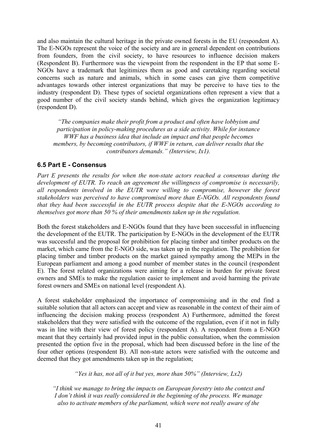and also maintain the cultural heritage in the private owned forests in the EU (respondent A). The E-NGOs represent the voice of the society and are in general dependent on contributions from founders, from the civil society, to have resources to influence decision makers (Respondent B). Furthermore was the viewpoint from the respondent in the EP that some E-NGOs have a trademark that legitimizes them as good and caretaking regarding societal concerns such as nature and animals, which in some cases can give them competitive advantages towards other interest organizations that may be perceive to have ties to the industry (respondent D). These types of societal organizations often represent a view that a good number of the civil society stands behind, which gives the organization legitimacy (respondent D).

*"The companies make their profit from a product and often have lobbyism and participation in policy-making procedures as a side activity. While for instance WWF has a business idea that include an impact and that people becomes members, by becoming contributors, if WWF in return, can deliver results that the contributors demands." (Interview, Ix1).* 

## **6.5 Part E - Consensus**

*Part E presents the results for when the non-state actors reached a consensus during the development of EUTR. To reach an agreement the willingness of compromise is necessarily, all respondents involved in the EUTR were willing to compromise, however the forest stakeholders was perceived to have compromised more than E-NGOs. All respondents found that they had been successful in the EUTR process despite that the E-NGOs according to themselves got more than 50 % of their amendments taken up in the regulation.* 

Both the forest stakeholders and E-NGOs found that they have been successful in influencing the development of the EUTR. The participation by E-NGOs in the development of the EUTR was successful and the proposal for prohibition for placing timber and timber products on the market, which came from the E-NGO side, was taken up in the regulation. The prohibition for placing timber and timber products on the market gained sympathy among the MEPs in the European parliament and among a good number of member states in the council (respondent E). The forest related organizations were aiming for a release in burden for private forest owners and SMEs to make the regulation easier to implement and avoid harming the private forest owners and SMEs on national level (respondent A).

A forest stakeholder emphasized the importance of compromising and in the end find a suitable solution that all actors can accept and view as reasonable in the context of their aim of influencing the decision making process (respondent A) Furthermore, admitted the forest stakeholders that they were satisfied with the outcome of the regulation, even if it not in fully was in line with their view of forest policy (respondent A). A respondent from a E-NGO meant that they certainly had provided input in the public consultation, when the commission presented the option five in the proposal, which had been discussed before in the line of the four other options (respondent B). All non-state actors were satisfied with the outcome and deemed that they got amendments taken up in the regulation;

*"Yes it has, not all of it but yes, more than 50%" (Interview, Lx2)* 

*"I think we manage to bring the impacts on European forestry into the context and I don't think it was really considered in the beginning of the process. We manage also to activate members of the parliament, which were not really aware of the*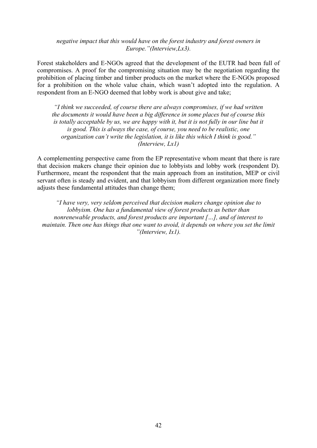#### *negative impact that this would have on the forest industry and forest owners in Europe."(Interview,Lx3).*

Forest stakeholders and E-NGOs agreed that the development of the EUTR had been full of compromises. A proof for the compromising situation may be the negotiation regarding the prohibition of placing timber and timber products on the market where the E-NGOs proposed for a prohibition on the whole value chain, which wasn't adopted into the regulation. A respondent from an E-NGO deemed that lobby work is about give and take;

*"I think we succeeded, of course there are always compromises, if we had written the documents it would have been a big difference in some places but of course this is totally acceptable by us, we are happy with it, but it is not fully in our line but it is good. This is always the case, of course, you need to be realistic, one organization can't write the legislation, it is like this which I think is good." (Interview, Lx1)* 

A complementing perspective came from the EP representative whom meant that there is rare that decision makers change their opinion due to lobbyists and lobby work (respondent D). Furthermore, meant the respondent that the main approach from an institution, MEP or civil servant often is steady and evident, and that lobbyism from different organization more finely adjusts these fundamental attitudes than change them;

*"I have very, very seldom perceived that decision makers change opinion due to lobbyism. One has a fundamental view of forest products as better than nonrenewable products, and forest products are important […], and of interest to maintain. Then one has things that one want to avoid, it depends on where you set the limit "(Interview, Ix1).*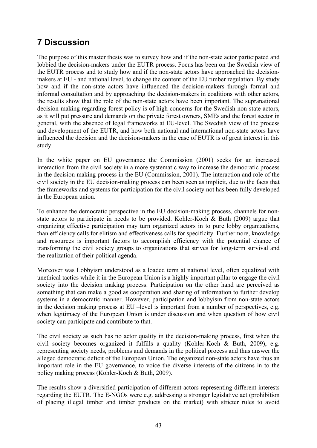# **7 Discussion**

The purpose of this master thesis was to survey how and if the non-state actor participated and lobbied the decision-makers under the EUTR process. Focus has been on the Swedish view of the EUTR process and to study how and if the non-state actors have approached the decisionmakers at EU - and national level, to change the content of the EU timber regulation. By study how and if the non-state actors have influenced the decision-makers through formal and informal consultation and by approaching the decision-makers in coalitions with other actors, the results show that the role of the non-state actors have been important. The supranational decision-making regarding forest policy is of high concerns for the Swedish non-state actors, as it will put pressure and demands on the private forest owners, SMEs and the forest sector in general, with the absence of legal frameworks at EU-level. The Swedish view of the process and development of the EUTR, and how both national and international non-state actors have influenced the decision and the decision-makers in the case of EUTR is of great interest in this study.

In the white paper on EU governance the Commission (2001) seeks for an increased interaction from the civil society in a more systematic way to increase the democratic process in the decision making process in the EU (Commission, 2001). The interaction and role of the civil society in the EU decision-making process can been seen as implicit, due to the facts that the frameworks and systems for participation for the civil society not has been fully developed in the European union.

To enhance the democratic perspective in the EU decision-making process, channels for nonstate actors to participate in needs to be provided. Kohler-Koch & Buth (2009) argue that organizing effective participation may turn organized actors in to pure lobby organizations, than efficiency calls for elitism and effectiveness calls for specificity. Furthermore, knowledge and resources is important factors to accomplish efficiency with the potential chance of transforming the civil society groups to organizations that strives for long-term survival and the realization of their political agenda.

Moreover was Lobbyism understood as a loaded term at national level, often equalized with unethical tactics while it in the European Union is a highly important pillar to engage the civil society into the decision making process. Participation on the other hand are perceived as something that can make a good as cooperation and sharing of information to further develop systems in a democratic manner. However, participation and lobbyism from non-state actors in the decision making process at EU –level is important from a number of perspectives, e.g. when legitimacy of the European Union is under discussion and when question of how civil society can participate and contribute to that.

The civil society as such has no actor quality in the decision-making process, first when the civil society becomes organized it fulfills a quality (Kohler-Koch & Buth, 2009), e.g. representing society needs, problems and demands in the political process and thus answer the alleged democratic deficit of the European Union. The organized non-state actors have thus an important role in the EU governance, to voice the diverse interests of the citizens in to the policy making process (Kohler-Koch & Buth, 2009).

The results show a diversified participation of different actors representing different interests regarding the EUTR. The E-NGOs were e.g. addressing a stronger legislative act (prohibition of placing illegal timber and timber products on the market) with stricter rules to avoid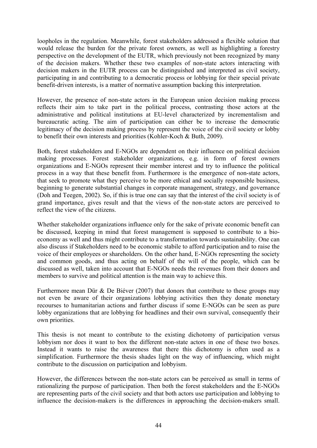loopholes in the regulation. Meanwhile, forest stakeholders addressed a flexible solution that would release the burden for the private forest owners, as well as highlighting a forestry perspective on the development of the EUTR, which previously not been recognized by many of the decision makers. Whether these two examples of non-state actors interacting with decision makers in the EUTR process can be distinguished and interpreted as civil society, participating in and contributing to a democratic process or lobbying for their special private benefit-driven interests, is a matter of normative assumption backing this interpretation.

However, the presence of non-state actors in the European union decision making process reflects their aim to take part in the political process, contrasting those actors at the administrative and political institutions at EU-level characterized by incrementalism and bureaucratic acting. The aim of participation can either be to increase the democratic legitimacy of the decision making process by represent the voice of the civil society or lobby to benefit their own interests and priorities (Kohler-Koch & Buth, 2009).

Both, forest stakeholders and E-NGOs are dependent on their influence on political decision making processes. Forest stakeholder organizations, e.g. in form of forest owners organizations and E-NGOs represent their member interest and try to influence the political process in a way that these benefit from. Furthermore is the emergence of non-state actors, that seek to promote what they perceive to be more ethical and socially responsible business, beginning to generate substantial changes in corporate management, strategy, and governance (Doh and Teegen, 2002). So, if this is true one can say that the interest of the civil society is of grand importance, gives result and that the views of the non-state actors are perceived to reflect the view of the citizens.

Whether stakeholder organizations influence only for the sake of private economic benefit can be discussed, keeping in mind that forest management is supposed to contribute to a bioeconomy as well and thus might contribute to a transformation towards sustainability. One can also discuss if Stakeholders need to be economic stabile to afford participation and to raise the voice of their employees or shareholders. On the other hand, E-NGOs representing the society and common goods, and thus acting on behalf of the will of the people, which can be discussed as well, taken into account that E-NGOs needs the revenues from their donors and members to survive and political attention is the main way to achieve this.

Furthermore mean Dür & De Biéver (2007) that donors that contribute to these groups may not even be aware of their organizations lobbying activities then they donate monetary recourses to humanitarian actions and further discuss if some E-NGOs can be seen as pure lobby organizations that are lobbying for headlines and their own survival, consequently their own priorities.

This thesis is not meant to contribute to the existing dichotomy of participation versus lobbyism nor does it want to box the different non-state actors in one of these two boxes. Instead it wants to raise the awareness that there this dichotomy is often used as a simplification. Furthermore the thesis shades light on the way of influencing, which might contribute to the discussion on participation and lobbyism.

However, the differences between the non-state actors can be perceived as small in terms of rationalizing the purpose of participation. Then both the forest stakeholders and the E-NGOs are representing parts of the civil society and that both actors use participation and lobbying to influence the decision-makers is the differences in approaching the decision-makers small.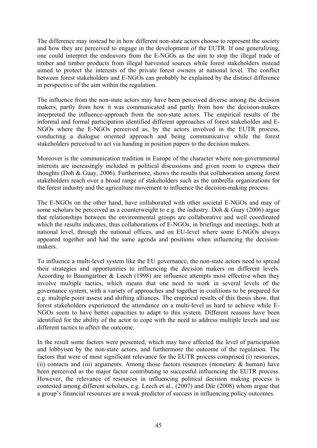The difference may instead be in how different non-state actors choose to represent the society and how they are perceived to engage in the development of the EUTR. If one generalizing, one could interpret the endeavors from the E-NGOs as the aim to stop the illegal trade of timber and timber products from illegal harvested sources while forest stakeholders instead aimed to protect the interests of the private forest owners at national level. The conflict between forest stakeholders and E-NGOs can probably be explained by the distinct difference in perspective of the aim within the regulation.

The influence from the non-state actors may have been perceived diverse among the decision makers, partly from how it was communicated and partly from how the decision-makers interpreted the influence-approach from the non-state actors. The empirical results of the informal and formal participation identified different approaches of forest stakeholder and E-NGOs where the E-NGOs perceived as, by the actors involved in the EUTR process, conducting a dialogue oriented approach and being communicative while the forest stakeholders perceived to act via handing in position papers to the decision makers.

Moreover is the communication tradition in Europe of the character where non-governmental interests are increasingly included in political discussions and given room to express their thoughts (Doh & Guay, 2006). Furthermore, shows the results that collaboration among forest stakeholders reach over a broad range of stakeholders such as the umbrella organizations for the forest industry and the agriculture movement to influence the decision-making process.

The E-NGOs on the other hand, have collaborated with other societal E-NGOs and may of some scholars be perceived as a counterweight to e.g. the industry. Doh  $\&$  Guay (2006) argue that relationships between the environmental groups are collaborative and well coordinated which the results indicates, thus collaborations of E-NGOs, in briefings and meetings, both at national level, through the national offices, and on EU-level where some E-NGOs always appeared together and had the same agenda and positions when influencing the decisionmakers.

To influence a multi-level system like the EU governance, the non-state actors need to spread their strategies and opportunities to influencing the decision makers on different levels. According to Baumgartner & Leech (1998) are influence attempts most effective when they involve multiple tactics, which means that one need to work in several levels of the governance system, with a variety of approaches and together in coalitions to be prepared for e.g. multiple point assess and shifting alliances. The empirical results of this thesis show, that forest stakeholders experienced the attendance on a multi-level as hard to achieve while E-NGOs seem to have better capacities to adapt to this system. Different reasons have been identified for the ability of the actor to cope with the need to address multiple levels and use different tactics to affect the outcome.

In the result some factors were presented, which may have affected the level of participation and lobbyism by the non-state actors, and furthermore the outcome of the regulation. The factors that were of most significant relevance for the EUTR process comprised (i) resources, (ii) contacts and (iii) arguments. Among those factors resources (monetary & human) have been perceived as the major factor contributing to successful influencing the EUTR process. However, the relevance of resources in influencing political decision making process is contested among different scholars, e.g. Leech et al., (2007) and Dür (2008) whom argue that a group's financial resources are a weak predictor of success in influencing policy outcomes.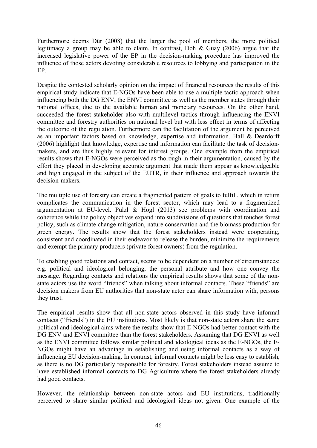Furthermore deems Dür (2008) that the larger the pool of members, the more political legitimacy a group may be able to claim. In contrast, Doh & Guay (2006) argue that the increased legislative power of the EP in the decision-making procedure has improved the influence of those actors devoting considerable resources to lobbying and participation in the EP.

Despite the contested scholarly opinion on the impact of financial resources the results of this empirical study indicate that E-NGOs have been able to use a multiple tactic approach when influencing both the DG ENV, the ENVI committee as well as the member states through their national offices, due to the available human and monetary resources. On the other hand, succeeded the forest stakeholder also with multilevel tactics through influencing the ENVI committee and forestry authorities on national level but with less effect in terms of affecting the outcome of the regulation. Furthermore can the facilitation of the argument be perceived as an important factors based on knowledge, expertise and information. Hall & Deardorff (2006) highlight that knowledge, expertise and information can facilitate the task of decisionmakers, and are thus highly relevant for interest groups. One example from the empirical results shows that E-NGOs were perceived as thorough in their argumentation, caused by the effort they placed in developing accurate argument that made them appear as knowledgeable and high engaged in the subject of the EUTR, in their influence and approach towards the decision-makers.

The multiple use of forestry can create a fragmented pattern of goals to fulfill, which in return complicates the communication in the forest sector, which may lead to a fragmentized argumentation at EU-level. Pülzl & Hogl (2013) see problems with coordination and coherence while the policy objectives expand into subdivisions of questions that touches forest policy, such as climate change mitigation, nature conservation and the biomass production for green energy. The results show that the forest stakeholders instead were cooperating, consistent and coordinated in their endeavor to release the burden, minimize the requirements and exempt the primary producers (private forest owners) from the regulation.

To enabling good relations and contact, seems to be dependent on a number of circumstances; e.g. political and ideological belonging, the personal attribute and how one convey the message. Regarding contacts and relations the empirical results shows that some of the nonstate actors use the word "friends" when talking about informal contacts. These "friends" are decision makers from EU authorities that non-state actor can share information with, persons they trust.

The empirical results show that all non-state actors observed in this study have informal contacts ("friends") in the EU institutions. Most likely is that non-state actors share the same political and ideological aims where the results show that E-NGOs had better contact with the DG ENV and ENVI committee than the forest stakeholders. Assuming that DG ENVI as well as the ENVI committee follows similar political and ideological ideas as the E-NGOs, the E-NGOs might have an advantage in establishing and using informal contacts as a way of influencing EU decision-making. In contrast, informal contacts might be less easy to establish, as there is no DG particularly responsible for forestry. Forest stakeholders instead assume to have established informal contacts to DG Agriculture where the forest stakeholders already had good contacts.

However, the relationship between non-state actors and EU institutions, traditionally perceived to share similar political and ideological ideas not given. One example of the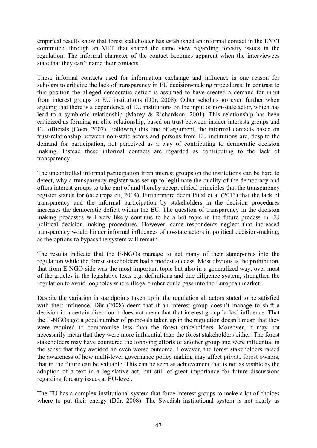empirical results show that forest stakeholder has established an informal contact in the ENVI committee, through an MEP that shared the same view regarding forestry issues in the regulation. The informal character of the contact becomes apparent when the interviewees state that they can't name their contacts.

These informal contacts used for information exchange and influence is one reason for scholars to criticize the lack of transparency in EU decision-making procedures. In contrast to this position the alleged democratic deficit is assumed to have created a demand for input from interest groups to EU institutions (Dür, 2008). Other scholars go even further when arguing that there is a dependence of EU institutions on the input of non-state actor, which has lead to a symbiotic relationship (Mazey & Richardson, 2001). This relationship has been criticized as forming an elite relationship, based on trust between insider interests groups and EU officials (Coen, 2007). Following this line of argument, the informal contacts based on trust-relationship between non-state actors and persons from EU institutions are, despite the demand for participation, not perceived as a way of contributing to democratic decision making. Instead these informal contacts are regarded as contributing to the lack of transparency.

The uncontrolled informal participation from interest groups on the institutions can be hard to detect, why a transparency register was set up to legitimate the quality of the democracy and offers interest groups to take part of and thereby accept ethical principles that the transparency register stands for (ec.europa.eu, 2014). Furthermore deem Pülzl et al (2013) that the lack of transparency and the informal participation by stakeholders in the decision procedures increases the democratic deficit within the EU. The question of transparency in the decision making processes will very likely continue to be a hot topic in the future process in EU political decision making procedures. However, some respondents neglect that increased transparency would hinder informal influences of no-state actors in political decision-making, as the options to bypass the system will remain.

The results indicate that the E-NGOs manage to get many of their standpoints into the regulation while the forest stakeholders had a modest success. Most obvious is the prohibition, that from E-NGO-side was the most important topic but also in a generalized way, over most of the articles in the legislative texts e.g. definitions and due diligence system, strengthen the regulation to avoid loopholes where illegal timber could pass into the European market.

Despite the variation in standpoints taken up in the regulation all actors stated to be satisfied with their influence. Dür (2008) deem that if an interest group doesn't manage to shift a decision in a certain direction it does not mean that that interest group lacked influence. That the E-NGOs got a good number of proposals taken up in the regulation doesn't mean that they were required to compromise less than the forest stakeholders. Moreover, it may not necessarily mean that they were more influential than the forest stakeholders either. The forest stakeholders may have countered the lobbying efforts of another group and were influential in the sense that they avoided an even worse outcome. However, the forest stakeholders raised the awareness of how multi-level governance policy making may affect private forest owners, that in the future can be valuable. This can be seen as achievement that is not as visible as the adoption of a text in a legislative act, but still of great importance for future discussions regarding forestry issues at EU-level.

The EU has a complex institutional system that force interest groups to make a lot of choices where to put their energy (Dür, 2008). The Swedish institutional system is not nearly as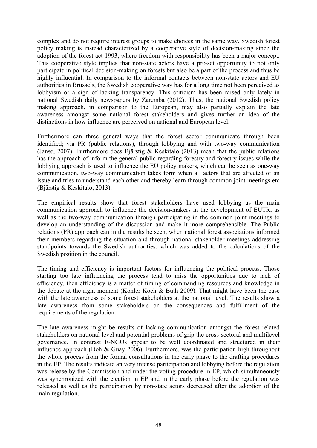complex and do not require interest groups to make choices in the same way. Swedish forest policy making is instead characterized by a cooperative style of decision-making since the adoption of the forest act 1993, where freedom with responsibility has been a major concept. This cooperative style implies that non-state actors have a pre-set opportunity to not only participate in political decision-making on forests but also be a part of the process and thus be highly influential. In comparison to the informal contacts between non-state actors and EU authorities in Brussels, the Swedish cooperative way has for a long time not been perceived as lobbyism or a sign of lacking transparency. This criticism has been raised only lately in national Swedish daily newspapers by Zaremba (2012). Thus, the national Swedish policy making approach, in comparison to the European, may also partially explain the late awareness amongst some national forest stakeholders and gives further an idea of the distinctions in how influence are perceived on national and European level.

Furthermore can three general ways that the forest sector communicate through been identified; via PR (public relations), through lobbying and with two-way communication (Janse, 2007). Furthermore does Bjärstig & Keskitalo (2013) mean that the public relations has the approach of inform the general public regarding forestry and forestry issues while the lobbying approach is used to influence the EU policy makers, which can be seen as one-way communication, two-way communication takes form when all actors that are affected of an issue and tries to understand each other and thereby learn through common joint meetings etc (Bjärstig & Keskitalo, 2013).

The empirical results show that forest stakeholders have used lobbying as the main communication approach to influence the decision-makers in the development of EUTR, as well as the two-way communication through participating in the common joint meetings to develop an understanding of the discussion and make it more comprehensible. The Public relations (PR) approach can in the results be seen, when national forest associations informed their members regarding the situation and through national stakeholder meetings addressing standpoints towards the Swedish authorities, which was added to the calculations of the Swedish position in the council.

The timing and efficiency is important factors for influencing the political process. Those starting too late influencing the process tend to miss the opportunities due to lack of efficiency, then efficiency is a matter of timing of commanding resources and knowledge in the debate at the right moment (Kohler-Koch & Buth 2009). That might have been the case with the late awareness of some forest stakeholders at the national level. The results show a late awareness from some stakeholders on the consequences and fulfillment of the requirements of the regulation.

The late awareness might be results of lacking communication amongst the forest related stakeholders on national level and potential problems of grip the cross-sectoral and multilevel governance. In contrast E-NGOs appear to be well coordinated and structured in their influence approach (Doh & Guay 2006). Furthermore, was the participation high throughout the whole process from the formal consultations in the early phase to the drafting procedures in the EP. The results indicate an very intense participation and lobbying before the regulation was release by the Commission and under the voting procedure in EP, which simultaneously was synchronized with the election in EP and in the early phase before the regulation was released as well as the participation by non-state actors decreased after the adoption of the main regulation.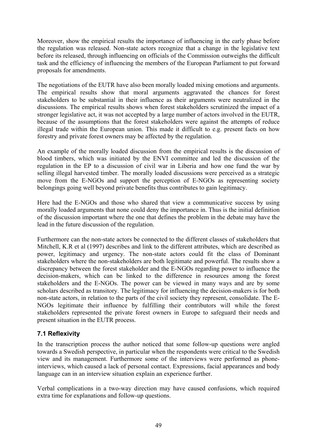Moreover, show the empirical results the importance of influencing in the early phase before the regulation was released. Non-state actors recognize that a change in the legislative text before its released, through influencing on officials of the Commission outweighs the difficult task and the efficiency of influencing the members of the European Parliament to put forward proposals for amendments.

The negotiations of the EUTR have also been morally loaded mixing emotions and arguments. The empirical results show that moral arguments aggravated the chances for forest stakeholders to be substantial in their influence as their arguments were neutralized in the discussions. The empirical results shows when forest stakeholders scrutinized the impact of a stronger legislative act, it was not accepted by a large number of actors involved in the EUTR, because of the assumptions that the forest stakeholders were against the attempts of reduce illegal trade within the European union. This made it difficult to e.g. present facts on how forestry and private forest owners may be affected by the regulation.

An example of the morally loaded discussion from the empirical results is the discussion of blood timbers, which was initiated by the ENVI committee and led the discussion of the regulation in the EP to a discussion of civil war in Liberia and how one fund the war by selling illegal harvested timber. The morally loaded discussions were perceived as a strategic move from the E-NGOs and support the perception of E-NGOs as representing society belongings going well beyond private benefits thus contributes to gain legitimacy.

Here had the E-NGOs and those who shared that view a communicative success by using morally loaded arguments that none could deny the importance in. Thus is the initial definition of the discussion important where the one that defines the problem in the debate may have the lead in the future discussion of the regulation.

Furthermore can the non-state actors be connected to the different classes of stakeholders that Mitchell, K.R et al (1997) describes and link to the different attributes, which are described as power, legitimacy and urgency. The non-state actors could fit the class of Dominant stakeholders where the non-stakeholders are both legitimate and powerful. The results show a discrepancy between the forest stakeholder and the E-NGOs regarding power to influence the decision-makers, which can be linked to the difference in resources among the forest stakeholders and the E-NGOs. The power can be viewed in many ways and are by some scholars described as transitory. The legitimacy for influencing the decision-makers is for both non-state actors, in relation to the parts of the civil society they represent, consolidate. The E-NGOs legitimate their influence by fulfilling their contributors will while the forest stakeholders represented the private forest owners in Europe to safeguard their needs and present situation in the EUTR process.

## **7.1 Reflexivity**

In the transcription process the author noticed that some follow-up questions were angled towards a Swedish perspective, in particular when the respondents were critical to the Swedish view and its management. Furthermore some of the interviews were performed as phoneinterviews, which caused a lack of personal contact. Expressions, facial appearances and body language can in an interview situation explain an experience further.

Verbal complications in a two-way direction may have caused confusions, which required extra time for explanations and follow-up questions.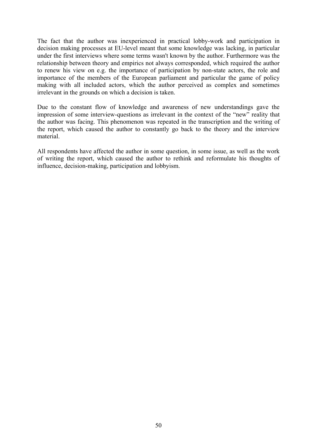The fact that the author was inexperienced in practical lobby-work and participation in decision making processes at EU-level meant that some knowledge was lacking, in particular under the first interviews where some terms wasn't known by the author. Furthermore was the relationship between theory and empirics not always corresponded, which required the author to renew his view on e.g. the importance of participation by non-state actors, the role and importance of the members of the European parliament and particular the game of policy making with all included actors, which the author perceived as complex and sometimes irrelevant in the grounds on which a decision is taken.

Due to the constant flow of knowledge and awareness of new understandings gave the impression of some interview-questions as irrelevant in the context of the "new" reality that the author was facing. This phenomenon was repeated in the transcription and the writing of the report, which caused the author to constantly go back to the theory and the interview material.

All respondents have affected the author in some question, in some issue, as well as the work of writing the report, which caused the author to rethink and reformulate his thoughts of influence, decision-making, participation and lobbyism.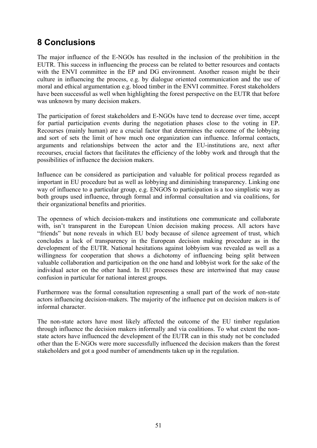# **8 Conclusions**

The major influence of the E-NGOs has resulted in the inclusion of the prohibition in the EUTR. This success in influencing the process can be related to better resources and contacts with the ENVI committee in the EP and DG environment. Another reason might be their culture in influencing the process, e.g. by dialogue oriented communication and the use of moral and ethical argumentation e.g. blood timber in the ENVI committee. Forest stakeholders have been successful as well when highlighting the forest perspective on the EUTR that before was unknown by many decision makers.

The participation of forest stakeholders and E-NGOs have tend to decrease over time, accept for partial participation events during the negotiation phases close to the voting in EP. Recourses (mainly human) are a crucial factor that determines the outcome of the lobbying and sort of sets the limit of how much one organization can influence. Informal contacts, arguments and relationships between the actor and the EU-institutions are, next after recourses, crucial factors that facilitates the efficiency of the lobby work and through that the possibilities of influence the decision makers.

Influence can be considered as participation and valuable for political process regarded as important in EU procedure but as well as lobbying and diminishing transparency. Linking one way of influence to a particular group, e.g. ENGOS to participation is a too simplistic way as both groups used influence, through formal and informal consultation and via coalitions, for their organizational benefits and priorities.

The openness of which decision-makers and institutions one communicate and collaborate with, isn't transparent in the European Union decision making process. All actors have "friends" but none reveals in which EU body because of silence agreement of trust, which concludes a lack of transparency in the European decision making procedure as in the development of the EUTR. National hesitations against lobbyism was revealed as well as a willingness for cooperation that shows a dichotomy of influencing being split between valuable collaboration and participation on the one hand and lobbyist work for the sake of the individual actor on the other hand. In EU processes these are intertwined that may cause confusion in particular for national interest groups.

Furthermore was the formal consultation representing a small part of the work of non-state actors influencing decision-makers. The majority of the influence put on decision makers is of informal character.

The non-state actors have most likely affected the outcome of the EU timber regulation through influence the decision makers informally and via coalitions. To what extent the nonstate actors have influenced the development of the EUTR can in this study not be concluded other than the E-NGOs were more successfully influenced the decision makers than the forest stakeholders and got a good number of amendments taken up in the regulation.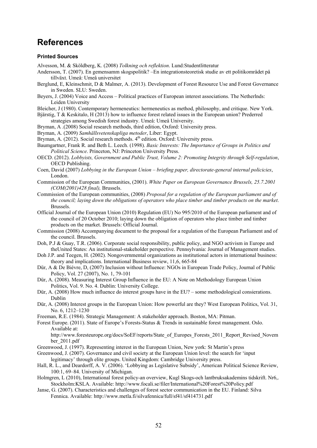## **References**

#### **Printed Sources**

- Alvesson, M. & Sköldberg, K. (2008) *Tolkning och reflektion*. Lund:Studentlitteratur
- Andersson, T. (2007). En gemensamm skogspolitik? –En integrationsteoretisk studie av ett politikområdet på tillväxt. Umeå: Umeå universitet
- Berglund, E, Kleinschmit, D & Malmer, A. (2013). Development of Forest Resource Use and Forest Governance in Sweden. SLU: Sweden.
- Beyers, J. (2004) Voice and Access Political practices of European interest associations. The Netherlnds: Leiden University
- Bleicher, J (1980). Contemporary hermeneutics: hermeneutics as method, philosophy, and critique. New York.
- Bjärstig, T & Keskitalo, H (2013) how to influence forest related issues in the European union? Prederred strategies among Swedish forest industry. Umeå: Umeå University.
- Bryman, A .(2008) Social research methods, third edition, Oxford: University press.
- Bryman, A. (2009) *Samhällsvetenskapliga metoder*, Liber: Egypt.
- Bryman, A.  $(2012)$ . Social research methods.  $4<sup>th</sup>$  edition. Oxford: University press.
- Baumgartner, Frank R. and Beth L. Leech. (1998). *Basic Interests: The Importance of Groups in Politics and Political Science*. Princeton, NJ: Princeton University Press.
- OECD. (2012). *Lobbyists, Government and Public Trust, Volume 2: Promoting Integrity through Self-regulation*, OECD Publishing.
- Coen, David (2007) *Lobbying in the European Union briefing paper, directorate-general internal policicies*, London.
- Commission of the European Communities, (2001). *White Paper on European Governance Brussels, 25.7.2001 (COM(2001)428 final),* Brussels.
- Commission of the European communities, (2008) *Proposal for a regulation of the European parliament and of the council; laying down the obligations of operators who place timber and timber products on the market*. Brussels.
- Official Journal of the European Union (2010) Regulation (EU) No 995/2010 of the European parliament and of the council of 20 October 2010; laying down the obligation of operators who place timber and timber products on the market. Brussels: Official Journal.
- Commission (2008) Accompanying document to the proposal for a regulation of the European Parliament and of the council. Brussels.
- Doh, P.J & Guay, T.R. (2006). Corporate social responsibility, public policy, and NGO activism in Europe and theUnited States: An institutional-stakeholder perspective. Pennsylvania: Journal of Management studies.
- Doh J.P. and Teegen, H. (2002). Nongovernmental organizations as institutional actors in international business: theory and implications. International Business review, 11,6, 665-84
- Dür, A & De Biévre, D, (2007) Inclusion without Influence: NGOs in European Trade Policy, Journal of Public Policy, Vol. 27 (2007), No. 1, 79-101
- Dür, A. (2008). Measuring Interest Group Influence in the EU: A Note on Methodology European Union Politics, Vol. 9. No. 4. Dublin: University College.
- Dür, A. (2008) How much influence do interest groups have in the EU? some methodological consierations. Dublin
- Dür, A. (2008) Interest groups in the European Union: How powerful are they? West European Politics, Vol. 31, No. 6, 1212–1230
- Freeman, R.E. (1984). Strategic Management: A stakeholder approach. Boston, MA: Pitman.

Forest Europe. (2011). State of Europe's Forests-Status & Trends in sustainable forest management. Oslo. Available at:

http://www.foresteurope.org/docs/SoEF/reports/State\_of\_Europes\_Forests\_2011\_Report\_Revised\_Novem ber\_2011.pdf

- Greenwood, J. (1997). Representing interest in the European Union, New york: St Martin's press
- Greenwood, J. (2007). Governance and civil society at the European Union level: the search for 'input legitimacy' through elite groups. United Kingdom: Cambridge University press.
- Hall, R. L., and Deardorff, A. V. (2006). 'Lobbying as Legislative Subsidy', American Political Science Review, 100:1, 69–84. University of Michigan.
- Holmgren, L (2010), International forest policy-an overview, Kugl Skogs-och lantbruksakademins tidskrift. Nr6,. Stockholm:KSLA. Available: http://www.focali.se/filer/International%20Forest%20Policy.pdf
- Janse, G. (2007). Characteristics and challenges of forest sector communication in the EU. Finland: Silva Fennica. Available: http://www.metla.fi/silvafennica/full/sf41/sf414731.pdf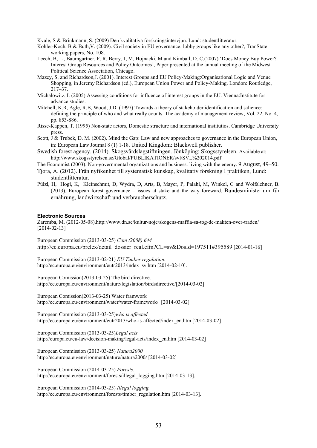Kvale, S & Brinkmann, S. (2009) Den kvalitativa forskningsintervjun. Lund: studentlitteratur.

- Kohler-Koch, B & Buth,V. (2009). Civil society in EU governance: lobby groups like any other?, TranState working papers, No. 108.
- Leech, B, L., Baumgartner, F. R, Berry, J, M, Hojnacki, M and Kimball, D. C.(2007) 'Does Money Buy Power? Interest Group Resources and Policy Outcomes', Paper presented at the annual meeting of the Midwest Political Science Association, Chicago.
- Mazey, S, and Richardson,J. (2001). Interest Groups and EU Policy-Making:Organisational Logic and Venue Shopping, in Jeremy Richardson (ed.), European Union:Power and Policy-Making. London: Routledge, 217–37.
- Michalowitz, I. (2005) Assessing conditions for influence of interest groups in the EU. Vienna:Institute for advance studies.
- Mitchell, K.R, Agle, R.B, Wood, J.D. (1997) Towards a theory of stakeholder identification and salience: defining the principle of who and what really counts. The academy of management review, Vol. 22, No. 4, pp. 853-886.
- Risse-Kappen, T. (1995) Non-state actors, Domestic structure and international institutios. Cambridge University press.
- Scott, J & Trubek, D. M. (2002). Mind the Gap: Law and new approaches to governance in the European Union, in: European Law Journal 8 (1) 1-18. United Kingdom: Blackwell publisher.
- Swedish forest agency. (2014). Skogsvårdslagstiftningen. Jönköping: Skogsstyrelsen. Available at: http://www.skogsstyrelsen.se/Global/PUBLIKATIONER/svl/SVL%202014.pdf
- The Economist (2003). Non-governmental organizations and business: living with the enemy. 9 August, 49–50.
- Tjora, A. (2012). Från nyfikenhet till systematisk kunskap, kvalitativ forskning I praktiken, Lund: studentlitteratur.
- Pülzl, H, Hogl, K, Kleinschmit, D, Wydra, D, Arts, B, Mayer, P, Palahí, M, Winkel, G and Wolfslehner, B. (2013), European forest governance – issues at stake and the way foreward. Bundesministerium für ernährung, landwirtschaft und verbraucherschutz.

#### **Electronic Sources**

Zaremba, M. (2012-05-08).http://www.dn.se/kultur-noje/skogens-maffia-sa-tog-de-makten-over-traden/ [2014-02-13]

European Commission (2013-03-25) *Com (2008) 644*  http://ec.europa.eu/prelex/detail\_dossier\_real.cfm?CL=sv&DosId=197511#395589 [2014-01-16]

European Commission (2013-02-21) *EU Timber regulation.* http://ec.europa.eu/environment/eutr2013/index\_sv.htm [2014-02-10].

European Comission(2013-03-25) The bird directive. http://ec.europa.eu/environment/nature/legislation/birdsdirective/[2014-03-02]

European Comission(2013-03-25) Water framwork http://ec.europa.eu/environment/water/water-framework/ [2014-03-02]

European Commission (2013-03-25)*who is affected* http://ec.europa.eu/environment/eutr2013/who-is-affected/index\_en.htm [2014-03-02]

European Commission (2013-03-25)*Legal acts*  http://europa.eu/eu-law/decision-making/legal-acts/index\_en.htm [2014-03-02]

European Commission (2013-03-25) *Natura2000*  http://ec.europa.eu/environment/nature/natura2000/ [2014-03-02]

European Commission (2014-03-25) *Forests.* http://ec.europa.eu/environment/forests/illegal\_logging.htm [2014-03-13].

European Commission (2014-03-25) *Illegal logging.* http://ec.europa.eu/environment/forests/timber\_regulation.htm [2014-03-13].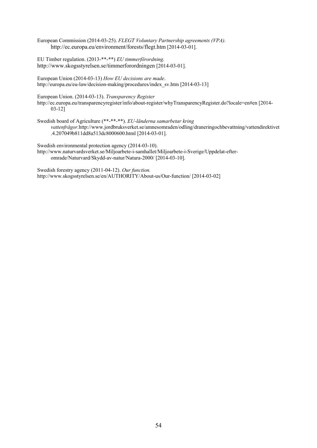European Commission (2014-03-25). *FLEGT Voluntary Partnership agreements (VPA).*  http://ec.europa.eu/environment/forests/flegt.htm [2014-03-01].

EU Timber regulation. (2013-\*\*-\*\*) *EU timmerförordning.* http://www.skogsstyrelsen.se/timmerforordningen [2014-03-01].

European Union (2014-03-13) *How EU decisions are made*. http://europa.eu/eu-law/decision-making/procedures/index\_sv.htm [2014-03-13]

European Union. (2014-03-13). *Transparency Register*

http://ec.europa.eu/transparencyregister/info/about-register/whyTransparencyRegister.do?locale=en#en [2014- 03-12]

Swedish board of Agriculture (\*\*-\*\*-\*\*). *EU-länderna samarbetar kring vattenfrågor.*http://www.jordbruksverket.se/amnesomraden/odling/draneringochbevattning/vattendirektivet .4.207049b811dd8a513dc8000600.html [2014-03-01].

Swedish environmental protection agency (2014-03-10). http://www.naturvardsverket.se/Miljoarbete-i-samhallet/Miljoarbete-i-Sverige/Uppdelat-efteromrade/Naturvard/Skydd-av-natur/Natura-2000/ [2014-03-10].

Swedish forestry agency (2011-04-12). *Our function.* http://www.skogsstyrelsen.se/en/AUTHORITY/About-us/Our-function/ [2014-03-02]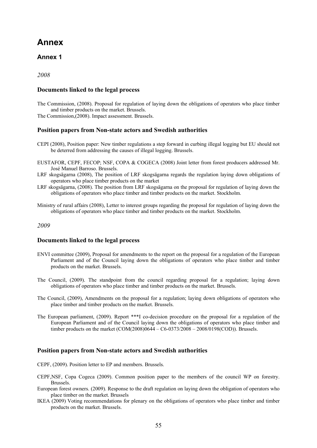## **Annex**

## **Annex 1**

*2008* 

#### **Documents linked to the legal process**

The Commission, (2008). Proposal for regulation of laying down the obligations of operators who place timber and timber products on the market. Brussels.

The Commission,(2008). Impact assessment. Brussels.

#### **Position papers from Non-state actors and Swedish authorities**

- CEPI (2008), Position paper: New timber regulations a step forward in curbing illegal logging but EU should not be deterred from addressing the causes of illegal logging. Brussels.
- EUSTAFOR, CEPF, FECOP; NSF, COPA & COGECA (2008) Joint letter from forest producers addressed Mr. José Manuel Barroso. Brussels.
- LRF skogsägarna (2008), The position of LRF skogsägarna regards the regulation laying down obligations of operators who place timber products on the market
- LRF skogsägarna, (2008). The position from LRF skogsägarna on the proposal for regulation of laying down the obligations of operators who place timber and timber products on the market. Stockholm.
- Ministry of rural affairs (2008), Letter to interest groups regarding the proposal for regulation of laying down the obligations of operators who place timber and timber products on the market. Stockholm.

#### *2009*

#### **Documents linked to the legal process**

- ENVI committee (2009), Proposal for amendments to the report on the proposal for a regulation of the European Parliament and of the Council laying down the obligations of operators who place timber and timber products on the market. Brussels.
- The Council, (2009). The standpoint from the council regarding proposal for a regulation; laying down obligations of operators who place timber and timber products on the market. Brussels.
- The Council, (2009), Amendments on the proposal for a regulation; laying down obligations of operators who place timber and timber products on the market. Brussels.
- The European parliament, (2009). Report \*\*\*I co-decision procedure on the proposal for a regulation of the European Parliament and of the Council laying down the obligations of operators who place timber and timber products on the market (COM(2008)0644 – C6-0373/2008 – 2008/0198(COD)). Brussels.

#### **Position papers from Non-state actors and Swedish authorities**

CEPF, (2009). Position letter to EP and members. Brussels.

- CEPF,NSF, Copa Cogeca (2009). Common position paper to the members of the council WP on forestry. Brussels.
- European forest owners. (2009). Response to the draft regulation on laying down the obligation of operators who place timber on the market. Brussels
- IKEA (2009) Voting recommendations for plenary on the obligations of operators who place timber and timber products on the market. Brussels.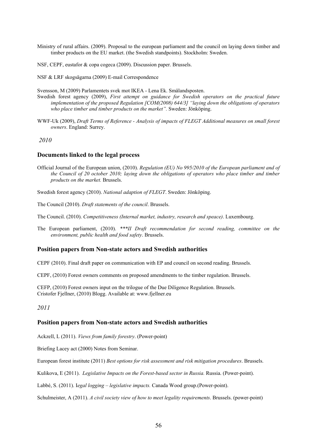- Ministry of rural affairs. (2009). Proposal to the european parliament and the council on laying down timber and timber products on the EU market. (the Swedish standpoints). Stockholm: Sweden.
- NSF, CEPF, eustafor & copa cogeca (2009). Discussion paper. Brussels.

NSF & LRF skogsägarna (2009) E-mail Correspondence

Svensson, M (2009) Parlamentets svek mot IKEA - Lena Ek. Smålandsposten.

- Swedish forest agency (2009), *First attempt on guidance for Swedish operators on the practical future implementation of the proposed Regulation [COM(2008) 644/3] "laying down the obligations of operators who place timber and timber products on the market".* Sweden: Jönköping.
- WWF-Uk (2009), *Draft Terms of Reference Analysis of impacts of FLEGT Additional measures on small forest owners*. England: Surrey.

#### *2010*

#### **Documents linked to the legal process**

- Official Journal of the European union, (2010). *Regulation (EU) No 995/2010 of the European parliament and of the Council of 20 october 2010; laying down the obligations of operators who place timber and timber products on the market.* Brussels.
- Swedish forest agency (2010). *National adaption of FLEGT*. Sweden: Jönköping.

The Council (2010). *Draft statements of the council*. Brussels.

The Council. (2010). *Competitiveness (Internal market, industry, research and speace)*. Luxembourg.

The European parliament, (2010). *\*\*\*II Draft recommendation for second reading, committee on the environment, public health and food safety*. Brussels.

#### **Position papers from Non-state actors and Swedish authorities**

CEPF (2010). Final draft paper on communication with EP and council on second reading. Brussels.

CEPF, (2010) Forest owners comments on proposed amendments to the timber regulation. Brussels.

CEFP, (2010) Forest owners input on the trilogue of the Due Diligence Regulation. Brussels. Cristofer Fjellner, (2010) Blogg. Available at: www.fjellner.eu

*2011* 

#### **Position papers from Non-state actors and Swedish authorities**

Ackzell, L (2011). *Views from family forestry*. (Power-point)

Briefing Lacey act (2000) Notes from Seminar.

European forest institute (2011) *Best options for risk assessment and risk mitigation procedures*. Brussels.

Kulikova, E (2011). *Legislative Impacts on the Forest-based sector in Russia.* Russia. (Power-point).

Labbé, S. (2011). I*egal logging – legislative impacts.* Canada Wood group.(Power-point).

Schulmeister, A (2011). *A civil society view of how to meet legality requirements*. Brussels. (power-point)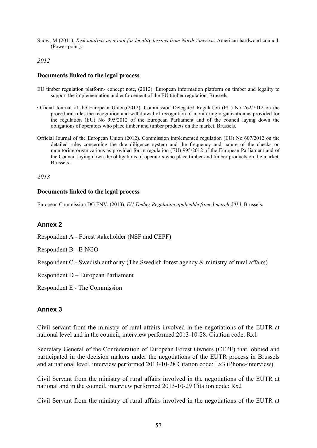Snow, M (2011). *Risk analysis as a tool for legality-lessons from North America*. American hardwood council. (Power-point).

#### *2012*

#### **Documents linked to the legal process**

- EU timber regulation platform- concept note, (2012). European information platform on timber and legality to support the implementation and enforcement of the EU timber regulation. Brussels.
- Official Journal of the European Union,(2012). Commission Delegated Regulation (EU) No 262/2012 on the procedural rules the recognition and withdrawal of recognition of monitoring organization as provided for the regulation (EU) No 995/2012 of the European Parliament and of the council laying down the obligations of operators who place timber and timber products on the market. Brussels.
- Official Journal of the European Union (2012). Commission implemented regulation (EU) No 607/2012 on the detailed rules concerning the due diligence system and the frequency and nature of the checks on monitoring organizations as provided for in regulation (EU) 995/2012 of the European Parliament and of the Council laying down the obligations of operators who place timber and timber products on the market. Brussels.

*2013* 

#### **Documents linked to the legal process**

European Commission DG ENV, (2013). *EU Timber Regulation applicable from 3 march 2013*. Brussels.

### **Annex 2**

Respondent A - Forest stakeholder (NSF and CEPF)

Respondent B - E-NGO

Respondent C - Swedish authority (The Swedish forest agency & ministry of rural affairs)

Respondent D – European Parliament

Respondent E - The Commission

### **Annex 3**

Civil servant from the ministry of rural affairs involved in the negotiations of the EUTR at national level and in the council, interview performed 2013-10-28. Citation code: Rx1

Secretary General of the Confederation of European Forest Owners (CEPF) that lobbied and participated in the decision makers under the negotiations of the EUTR process in Brussels and at national level, interview performed 2013-10-28 Citation code: Lx3 (Phone-interview)

Civil Servant from the ministry of rural affairs involved in the negotiations of the EUTR at national and in the council, interview performed 2013-10-29 Citation code: Rx2

Civil Servant from the ministry of rural affairs involved in the negotiations of the EUTR at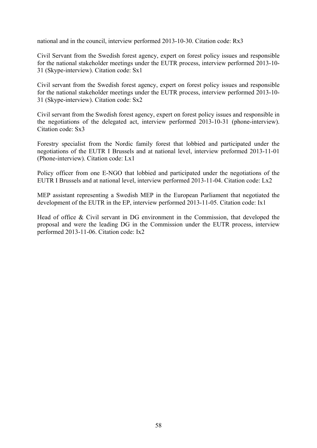national and in the council, interview performed 2013-10-30. Citation code: Rx3

Civil Servant from the Swedish forest agency, expert on forest policy issues and responsible for the national stakeholder meetings under the EUTR process, interview performed 2013-10- 31 (Skype-interview). Citation code: Sx1

Civil servant from the Swedish forest agency, expert on forest policy issues and responsible for the national stakeholder meetings under the EUTR process, interview performed 2013-10- 31 (Skype-interview). Citation code: Sx2

Civil servant from the Swedish forest agency, expert on forest policy issues and responsible in the negotiations of the delegated act, interview performed 2013-10-31 (phone-interview). Citation code: Sx3

Forestry specialist from the Nordic family forest that lobbied and participated under the negotiations of the EUTR I Brussels and at national level, interview preformed 2013-11-01 (Phone-interview). Citation code: Lx1

Policy officer from one E-NGO that lobbied and participated under the negotiations of the EUTR I Brussels and at national level, interview performed 2013-11-04. Citation code: Lx2

MEP assistant representing a Swedish MEP in the European Parliament that negotiated the development of the EUTR in the EP, interview performed 2013-11-05. Citation code: Ix1

Head of office & Civil servant in DG environment in the Commission, that developed the proposal and were the leading DG in the Commission under the EUTR process, interview performed 2013-11-06. Citation code: Ix2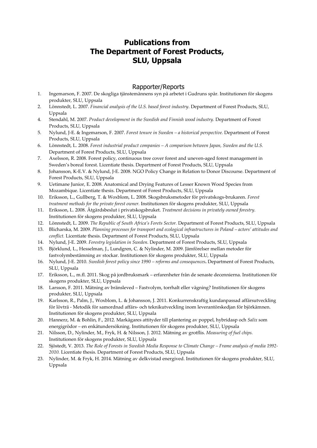## **Publications from The Department of Forest Products, SLU, Uppsala**

#### Rapporter/Reports

- 1. Ingemarson, F. 2007. De skogliga tjänstemännens syn på arbetet i Gudruns spår. Institutionen för skogens produkter, SLU, Uppsala
- 2. Lönnstedt, L. 2007. *Financial analysis of the U.S. based forest industry*. Department of Forest Products, SLU, Uppsala
- 4. Stendahl, M. 2007. *Product development in the Swedish and Finnish wood industry.* Department of Forest Products, SLU, Uppsala
- 5. Nylund, J‐E. & Ingemarson, F. 2007. *Forest tenure in Sweden – a historical perspective.* Department of Forest Products, SLU, Uppsala
- 6. Lönnstedt, L. 2008. *Forest industrial product companies – A comparison between Japan, Sweden and the U.S.* Department of Forest Products, SLU, Uppsala
- 7. Axelsson, R. 2008. Forest policy, continuous tree cover forest and uneven-aged forest management in Sweden's boreal forest. Licentiate thesis. Department of Forest Products, SLU, Uppsala
- 8. Johansson, K‐E.V. & Nylund, J‐E. 2008. NGO Policy Change in Relation to Donor Discourse. Department of Forest Products, SLU, Uppsala
- 9. Uetimane Junior, E. 2008. Anatomical and Drying Features of Lesser Known Wood Species from Mozambique. Licentiate thesis. Department of Forest Products, SLU, Uppsala
- 10. Eriksson, L., Gullberg, T. & Woxblom, L. 2008. Skogsbruksmetoder för privatskogs‐brukaren. *Forest treatment methods for the private forest owner.* Institutionen för skogens produkter, SLU, Uppsala
- 11. Eriksson, L. 2008. Åtgärdsbeslut i privatskogsbruket. *Treatment decisions in privately owned forestry.* Institutionen för skogens produkter, SLU, Uppsala
- 12. Lönnstedt, L. 2009. *The Republic of South Africa's Forets Sector.* Department of Forest Products, SLU, Uppsala
- 13. Blicharska, M. 2009. *Planning processes for transport and ecological infrastructures in Poland – actors' attitudes and conflict.* Licentiate thesis. Department of Forest Products, SLU, Uppsala
- 14. Nylund, J‐E. 2009. *Forestry legislation in Sweden*. Department of Forest Products, SLU, Uppsala
- 15. Björklund, L., Hesselman, J., Lundgren, C. & Nylinder, M. 2009. Jämförelser mellan metoder för fastvolymbestämning av stockar. Institutionen för skogens produkter, SLU, Uppsala
- 16. Nylund, J‐E. 2010. *Swedish forest policy since 1990 – reforms and consequences***.** Department of Forest Products, SLU, Uppsala
- 17. Eriksson, L., m.fl. 2011. Skog på jordbruksmark erfarenheter från de senaste decennierna. Institutionen för skogens produkter, SLU, Uppsala
- 18. Larsson, F. 2011. Mätning av bränsleved Fastvolym, torrhalt eller vägning? Institutionen för skogens produkter, SLU, Uppsala
- 19. Karlsson, R., Palm, J., Woxblom, L. & Johansson, J. 2011. Konkurrenskraftig kundanpassad affärsutveckling för lövträ ‐ Metodik för samordnad affärs‐ och teknikutveckling inom leverantörskedjan för björkämnen. Institutionen för skogens produkter, SLU, Uppsala
- 20. Hannerz, M. & Bohlin, F., 2012. Markägares attityder till plantering av poppel, hybridasp och *Salix* som energigrödor – en enkätundersökning. Institutionen för skogens produkter, SLU, Uppsala
- 21. Nilsson, D., Nylinder, M., Fryk, H. & Nilsson, J. 2012. Mätning av grotflis. *Measuring of fuel chips.* Institutionen för skogens produkter, SLU, Uppsala
- 22. Sjöstedt, V. 2013. The Role of Forests in Swedish Media Response to Climate Change Frame analysis of media 1992-*2010.* Licentiate thesis. Department of Forest Products, SLU, Uppsala
- 23. Nylinder, M. & Fryk, H. 2014. Mätning av delkvistad energived. Institutionen för skogens produkter, SLU, Uppsala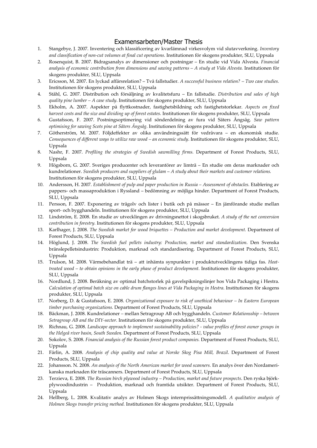#### Examensarbeten/Master Thesis

- 1. Stangebye, J. 2007. Inventering och klassificering av kvarlämnad virkesvolym vid slutavverkning. *Inventory and classification of non‐cut volumes at final cut operations.* Institutionen för skogens produkter, SLU, Uppsala
- 2. Rosenquist, B. 2007. Bidragsanalys av dimensioner och postningar En studie vid Vida Alvesta. *Financial analysis of economic contribution from dimensions and sawing patterns – A study at Vida Alvesta.* Institutionen för skogens produkter, SLU, Uppsala
- 3. Ericsson, M. 2007. En lyckad affärsrelation? Två fallstudier. *A successful business relation? – Two case studies.* Institutionen för skogens produkter, SLU, Uppsala
- 4. Ståhl, G. 2007. Distribution och försäljning av kvalitetsfuru En fallstudie. *Distribution and sales of high quality pine lumber – A case study*. Institutionen för skogens produkter, SLU, Uppsala
- 5. Ekholm, A. 2007. Aspekter på flyttkostnader, fastighetsbildning och fastighetstorlekar. *Aspects on fixed harvest costs and the size and dividing up of forest estates.* Institutionen för skogens produkter, SLU, Uppsala
- 6. Gustafsson, F. 2007. Postningsoptimering vid sönderdelning av fura vid Säters Ångsåg. *Saw pattern optimising for sawing Scots pine at Säters Ångsåg*. Institutionen för skogens produkter, SLU, Uppsala
- 7. Götherström, M. 2007. Följdeffekter av olika användningssätt för vedråvara en ekonomisk studie. *Consequences of different ways to utilize raw wood – an economic study*. Institutionen för skogens produkter, SLU, Uppsala
- 8. Nashr, F. 2007. *Profiling the strategies of Swedish sawmilling firms.* Department of Forest Products, SLU, Uppsala
- 9. Högsborn, G. 2007. Sveriges producenter och leverantörer av limträ En studie om deras marknader och kundrelationer. *Swedish producers and suppliers of glulam* – *A study about their markets and customer relations.* Institutionen för skogens produkter, SLU, Uppsala
- 10. Andersson, H. 2007. *Establishment of pulp and paper production in Russia – Assessment of obstacles.* Etablering av pappers‐ och massaproduktion i Ryssland – bedömning av möjliga hinder. Department of Forest Products, SLU, Uppsala
- 11. Persson, F. 2007. Exponering av trägolv och lister i butik och på mässor En jämförande studie mellan sport‐ och bygghandeln. Institutionen för skogens produkter, SLU, Uppsala
- 12. Lindström, E. 2008. En studie av utvecklingen av drivningsnettot i skogsbruket. *A study of the net conversion contribution in forestry.* Institutionen för skogens produkter, SLU, Uppsala
- 13. Karlhager, J. 2008. *The Swedish market for wood briquettes – Production and market development.* Department of Forest Products, SLU, Uppsala
- 14. Höglund, J. 2008. *The Swedish fuel pellets industry: Production, market and standardization*. Den Svenska bränslepelletsindustrin: Produktion, marknad och standardisering. Department of Forest Products, SLU, Uppsala
- 15. Trulson, M. 2008. Värmebehandlat trä att inhämta synpunkter i produktutvecklingens tidiga fas. *Heat‐ treated wood – to obtain opinions in the early phase of product development.* Institutionen för skogens produkter, SLU, Uppsala
- 16. Nordlund, J. 2008. Beräkning av optimal batchstorlek på gavelspikningslinjer hos Vida Packaging i Hestra. *Calculation of optimal batch size on cable drum flanges lines at Vida Packaging in Hestra*. Institutionen för skogens produkter, SLU, Uppsala
- 17. Norberg, D. & Gustafsson, E. 2008. *Organizational exposure to risk of unethical behaviour – In Eastern European timber purchasing organizations.* Department of Forest Products, SLU, Uppsala
- 18. Bäckman, J. 2008. Kundrelationer *–* mellan Setragroup AB och bygghandeln. *Customer Relationsship – between Setragroup AB and the DIY‐sector.* Institutionen för skogens produkter, SLU, Uppsala
- 19. Richnau, G. 2008. *Landscape approach to implement sustainability policies? ‐ value profiles of forest owner groups in the Helgeå river basin, South Sweden.* Department of Forest Products, SLU, Uppsala
- 20. Sokolov, S. 2008. *Financial analysis of the Russian forest product companies.* Department of Forest Products, SLU, Uppsala
- 21. Färlin, A. 2008. *Analysis of chip quality and value at Norske Skog Pisa Mill, Brazil*. Department of Forest Products, SLU, Uppsala
- 22. Johansson. N. 2008. *An analysis of the North American market for wood scanners.* En analys över den Nordameri‐ kanska marknaden för träscanners. Department of Forest Products, SLU, Uppsala
- 23. Terzieva, E. 2008. *The Russian birch plywood industry – Production, market and future prospects*. Den ryska björk‐ plywoodindustrin – Produktion, marknad och framtida utsikter. Department of Forest Products, SLU, Uppsala
- 24. Hellberg, L. 2008. Kvalitativ analys av Holmen Skogs internprissättningsmodell. *A qualitative analysis of Holmen Skogs transfer pricing method.* Institutionen för skogens produkter, SLU, Uppsala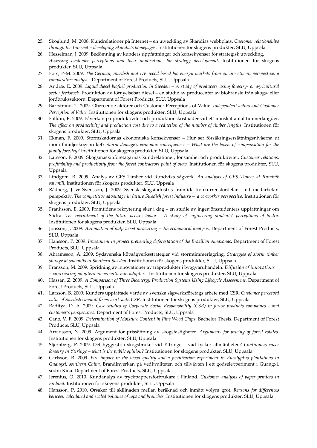- 25. Skoglund, M. 2008. Kundrelationer på Internet *–* en utveckling av Skandias webbplats. *Customer relationships through the Internet – developing Skandia's homepages.* Institutionen för skogens produkter, SLU, Uppsala
- 26. Hesselman, J. 2009. Bedömning av kunders uppfattningar och konsekvenser för strategisk utveckling. *Assessing customer perceptions and their implications for strategy development.* Institutionen för skogens produkter, SLU, Uppsala
- 27. Fors, P‐M. 2009. *The German, Swedish and UK wood based bio energy markets from an investment perspective, a comparative analysis.* Department of Forest Products, SLU, Uppsala
- 28. Andræ, E. 2009. Liquid diesel biofuel production in Sweden A study of producers using forestry- or agricultural *sector feedstock.* Produktion av förnyelsebar diesel – en studie av producenter av biobränsle från skogs‐ eller jordbrukssektorn. Department of Forest Products, SLU, Uppsala
- 29. Barrstrand, T. 2009. Oberoende aktörer och Customer Perceptions of Value. *Independent actors and Customer Perception of Value.* Institutionen för skogens produkter, SLU, Uppsala
- 30. Fälldin, E. 2009. Påverkan på produktivitet och produktionskostnader vid ett minskat antal timmerlängder. The effect on productivity and production cost due to a reduction of the number of timber lengths. Institutionen för skogens produkter, SLU, Uppsala
- 31. Ekman, F. 2009. Stormskadornas ekonomiska konsekvenser Hur ser försäkringsersättningsnivåerna ut inom familjeskogsbruket? *Storm damage's economic consequences* – *What are the levels of compensation for the family forestry?* Institutionen för skogens produkter, SLU, Uppsala
- 32. Larsson, F. 2009. Skogsmaskinföretagarnas kundrelationer, lönsamhet och produktivitet. *Customer relations, profitability and productivity from the forest contractors point of view.* Institutionen för skogens produkter, SLU, Uppsala
- 33. Lindgren, R. 2009. Analys av GPS Timber vid Rundviks sågverk. *An analysis of GPS Timber at Rundvik sawmill.* Institutionen för skogens produkter, SLU, Uppsala
- 34. Rådberg, J. & Svensson, J. 2009. Svensk skogsindustris framtida konkurrensfördelar ett medarbetar‐ perspektiv. *The competitive advantage in future Swedish forest industry* – *a co‐worker perspective.* Institutionen för skogens produkter, SLU, Uppsala
- 35. Franksson, E. 2009. Framtidens rekrytering sker i dag en studie av ingenjörsstudenters uppfattningar om Södra. The recruitment of the future occurs today  $-$  A study of engineering students' perceptions of Södra. Institutionen för skogens produkter, SLU, Uppsala
- 36. Jonsson, J. 2009. *Automation of pulp wood measuring – An economical analysis.* Department of Forest Products, SLU, Uppsala
- 37. Hansson, P. 2009. *Investment in project preventing deforestation of the Brazilian Amazonas.* Department of Forest Products, SLU, Uppsala
- 38. Abramsson, A. 2009. Sydsvenska köpsågverksstrategier vid stormtimmerlagring*. Strategies of storm timber storage at sawmills in Southern Sweden.* Institutionen för skogens produkter, SLU, Uppsala
- 39. Fransson, M. 2009. Spridning av innovationer av träprodukter i byggvaruhandeln. *Diffusion of innovations – contrasting adopters views with non adopters.* Institutionen för skogens produkter, SLU, Uppsala
- 40. Hassan, Z. 2009. *A Comparison of Three Bioenergy Production Systems Using Lifecycle Assessment.* Department of Forest Products, SLU, Uppsala
- 41. Larsson, B. 2009. Kunders uppfattade värde av svenska sågverksföretags arbete med CSR. *Customer perceived value of Swedish sawmill firms work with CSR.* Institutionen för skogens produkter, SLU, Uppsala
- 42. Raditya, D. A. 2009. *Case studies of Corporate Social Responsibility (CSR) in forest products companies ‐ and customer's perspectives.* Department of Forest Products, SLU, Uppsala
- 43. Cano, V. F. 2009. *Determination of Moisture Content in Pine Wood Chips.* Bachelor Thesis. Department of Forest Products, SLU, Uppsala
- 44. Arvidsson, N. 2009. Argument för prissättning av skogsfastigheter. *Arguments for pricing of forest estates.* Institutionen för skogens produkter, SLU, Uppsala
- 45. Stjernberg, P. 2009. Det hyggesfria skogsbruket vid Yttringe vad tycker allmänheten? *Continuous cover forestry in Yttringe – what is the public opinion?* Institutionen för skogens produkter, SLU, Uppsala
- 46. Carlsson, R. 2009. *Fire impact in the wood quality and a fertilization experiment in Eucalyptus plantations in Guangxi, southern China.* Brandinverkan på vedkvaliteten och tillväxten i ett gödselexperiment i Guangxi, södra Kina. Department of Forest Products, SLU, Uppsala
- 47. Jerenius, O. 2010. Kundanalys av tryckpappersförbrukare i Finland. *Customer analysis of paper printers in Finland.* Institutionen för skogens produkter, SLU, Uppsala
- 48. Hansson, P. 2010. Orsaker till skillnaden mellan beräknad och inmätt volym grot. *Reasons for differences between calculated and scaled volumes of tops and branches.* Institutionen för skogens produkter, SLU, Uppsala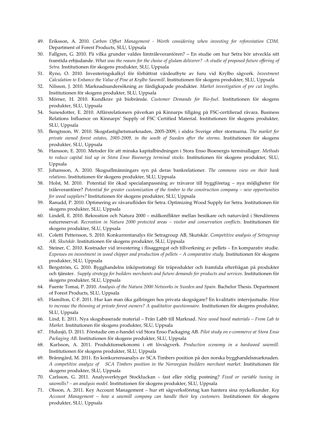- 49. Eriksson, A. 2010. *Carbon Offset Management ‐ Worth considering when investing for reforestation CDM.* Department of Forest Products, SLU, Uppsala
- 50. Fallgren, G. 2010. På vilka grunder valdes limträleverantören? *–* En studie om hur Setra bör utveckla sitt framtida erbjudande. What was the reason for the choise of glulam deliverer? - A studie of proposed future offering of *Setra.* Institutionen för skogens produkter, SLU, Uppsala
- 51. Ryno, O. 2010. Investeringskalkyl för förbättrat värdeutbyte av furu vid Krylbo sågverk. *Investment Calculation to Enhance the Value of Pine at Krylbo Sawmill*. Institutionen för skogens produkter, SLU, Uppsala
- 52. Nilsson, J. 2010. Marknadsundersökning av färdigkapade produkter. *Market investigation of pre cut lengths.* Institutionen för skogens produkter, SLU, Uppsala
- 53. Mörner, H. 2010. Kundkrav på biobränsle. *Customer Demands for Bio‐fuel*. Institutionen för skogens produkter, SLU, Uppsala
- 54. Sunesdotter, E. 2010. Affärsrelationers påverkan på Kinnarps tillgång på FSC‐certifierad råvara. Business Relations Influence on Kinnarps' Supply of FSC Certified Material. Institutionen för skogens produkter, SLU, Uppsala
- 55. Bengtsson, W. 2010. Skogsfastighetsmarknaden, 2005‐2009, i södra Sverige efter stormarna*. The market for private owned forest estates, 2005‐2009, in the south of Sweden after the storms*. Institutionen för skogens produkter, SLU, Uppsala
- 56. Hansson, E. 2010. Metoder för att minska kapitalbindningen i Stora Enso Bioenergis terminallager. *Methods to reduce capital tied up in Stora Enso Bioenergy terminal stocks.* Institutionen för skogens produkter, SLU, Uppsala
- 57. Johansson, A. 2010. Skogsallmänningars syn på deras bankrelationer. *The commons view on their bank relations*. Institutionen för skogens produkter, SLU, Uppsala
- 58. Holst, M. 2010. Potential för ökad specialanpassning av trävaror till byggföretag nya möjligheter för träleverantörer? *Potential for greater customization of the timber to the construction company – new opportunities for wood suppliers?* Institutionen för skogens produkter, SLU, Uppsala
- 59. Ranudd, P. 2010. Optimering av råvaruflöden för Setra. Optimizing Wood Supply for Setra. Institutionen för skogens produkter, SLU, Uppsala
- 60. Lindell, E. 2010. Rekreation och Natura 2000 målkonflikter mellan besökare och naturvård i Stendörrens naturreservat. *Recreation in Natura 2000 protected areas – visitor and conservation conflicts*. Institutionen för skogens produkter, SLU, Uppsala
- 61. Coletti Pettersson, S. 2010. Konkurrentanalys för Setragroup AB, Skutskär. *Competitive analysis of Setragroup AB, Skutskär*. Institutionen för skogens produkter, SLU, Uppsala
- 62. Steiner, C. 2010. Kostnader vid investering i flisaggregat och tillverkning av pellets En komparativ studie. *Expenses on investment in wood chipper and production of pellets – A comparative study.* Institutionen för skogens produkter, SLU, Uppsala
- 63. Bergström, G. 2010. Bygghandelns inköpsstrategi för träprodukter och framtida efterfrågan på produkter och tjänster. *Supply strategy for builders merchants and future demands for products and services.* Institutionen för skogens produkter, SLU, Uppsala
- 64. Fuente Tomai, P. 2010. *Analysis of the Natura 2000 Networks in Sweden and Spain.* Bachelor Thesis. Department of Forest Products, SLU, Uppsala
- 65. Hamilton, C‐F. 2011. Hur kan man öka gallringen hos privata skogsägare? En kvalitativ intervjustudie. *How to increase the thinning at private forest owners? A qualitative questionnaire.* Institutionen för skogens produkter, SLU, Uppsala
- 66. Lind, E. 2011. Nya skogsbaserade material Från Labb till Marknad. *New wood based materials – From Lab to Market.* Institutionen för skogens produkter, SLU, Uppsala
- 67. Hulusjö, D. 2011. Förstudie om e‐handel vid Stora Enso Packaging AB. *Pilot study on e‐commerce at Stora Enso Packaging AB*. Institutionen för skogens produkter, SLU, Uppsala
- 68. Karlsson, A. 2011. Produktionsekonomi i ett lövsågverk. *Production economy in a hardwood sawmill.* Institutionen för skogens produkter, SLU, Uppsala
- 69. Bränngård, M. 2011. En konkurrensanalys av SCA Timbers position på den norska bygghandelsmarknaden. *A competitive analyze of SCA Timbers position in the Norwegian builders merchant market.* Institutionen för skogens produkter, SLU, Uppsala
- 70. Carlsson, G. 2011. Analysverktyget Stockluckan fast eller rörlig postning? *Fixed or variable tuning in sawmills? – an analysis model.* Institutionen för skogens produkter, SLU, Uppsala
- 71. Olsson, A. 2011. Key Account Management hur ett sågverksföretag kan hantera sina nyckelkunder. *Key Account Management – how a sawmill company can handle their key customers.* Institutionen för skogens produkter, SLU, Uppsala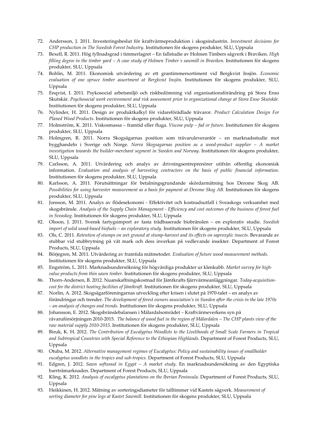- 72. Andersson, J. 2011. Investeringsbeslut för kraftvärmeproduktion i skogsindustrin. *Investment decisions for CHP production in The Swedish Forest Industry*. Institutionen för skogens produkter, SLU, Uppsala
- 73. Bexell, R. 2011. Hög fyllnadsgrad i timmerlagret En fallstudie av Holmen Timbers sågverk i Braviken. *High* filling degree in the timber yard  $-A$  case study of Holmen Timber's sawmill in Braviken. Institutionen för skogens produkter, SLU, Uppsala
- 74. Bohlin, M. 2011. Ekonomisk utvärdering av ett grantimmersortiment vid Bergkvist Insjön. *Economic evaluation of one spruce timber assortment at Bergkvist Insjön*. Institutionen för skogens produkter, SLU, Uppsala
- 75. Enqvist, I. 2011. Psykosocial arbetsmiljö och riskbedömning vid organisationsförändring på Stora Enso Skutskär. *Psychosocial work environment and risk assessment prior to organizational change at Stora Enso Skutskär.* Institutionen för skogens produkter, SLU, Uppsala
- 76. Nylinder, H. 2011. Design av produktkalkyl för vidareförädlade trävaror. *Product Calculation Design For Planed Wood Products*. Institutionen för skogens produkter, SLU, Uppsala
- 77. Holmström, K. 2011. Viskosmassa framtid eller fluga. *Viscose pulp – fad or future*. Institutionen för skogens produkter, SLU, Uppsala
- 78. Holmgren, R. 2011. Norra Skogsägarnas position som trävaruleverantör en marknadsstudie mot bygghandeln i Sverige och Norge. *Norra Skogsagarnas position as a wood‐product supplier – A market investigation towards the builder‐merchant segment in Sweden and Norway*. Institutionen för skogens produkter, SLU, Uppsala
- 79. Carlsson, A. 2011. Utvärdering och analys av drivningsentreprenörer utifrån offentlig ekonomisk information. *Evaluation and analysis of harvesting contractors on the basis of public financial information.* Institutionen för skogens produkter, SLU, Uppsala
- 80. Karlsson, A. 2011. Förutsättningar för betalningsgrundande skördarmätning hos Derome Skog AB. *Possibilities for using harvester measurement as a basis for payment at Derome Skog AB.* Institutionen för skogens produkter, SLU, Uppsala
- 81. Jonsson, M. 2011. Analys av flödesekonomi Effektivitet och kostnadsutfall i Sveaskogs verksamhet med skogsbränsle. Analysis of the Supply Chain Management - Efficiency and cost outcomes of the business of forest fuel *in Sveaskog.* Institutionen för skogens produkter, SLU, Uppsala
- 82. Olsson, J. 2011. Svensk fartygsimport av fasta trädbaserade biobränslen en explorativ studie. *Swedish import of solid wood‐based biofuels – an exploratory study.* Institutionen för skogens produkter, SLU, Uppsala
- 83. Ols, C. 2011. Retention of stumps on wet ground at stump-harvest and its effects on saproxylic insects. Bevarande av stubbar vid stubbrytning på våt mark och dess inverkan på vedlevande insekter. Department of Forest Products, SLU, Uppsala
- 84. Börjegren, M. 2011. Utvärdering av framtida mätmetoder. *Evaluation of future wood measurement methods.* Institutionen för skogens produkter, SLU, Uppsala
- 85. Engström, L. 2011. Marknadsundersökning för högvärdiga produkter ur klenkubb. *Market survey for high‐ value products from thin sawn timber.* Institutionen för skogens produkter, SLU, Uppsala
- 86. Thorn‐Andersen, B. 2012. Nuanskaffningskostnad för Jämtkrafts fjärrvärmeanläggningar. *Today‐acquisition‐ cost for the district heating facilities of Jämtkraft.* Institutionen för skogens produkter, SLU, Uppsala
- 87. Norlin, A. 2012. Skogsägarföreningarnas utveckling efter krisen i slutet på 1970-talet en analys av förändringar och trender. *The development of forest owners association's in Sweden after the crisis in the late 1970s – an analysis of changes and trends.* Institutionen för skogens produkter, SLU, Uppsala
- 88. Johansson, E. 2012. Skogsbränslebalansen i Mälardalsområdet *–* Kraftvärmeverkens syn på råvaruförsörjningen 2010-2015. The balance of wood fuel in the region of Mälardalen - The CHP plants view of the *raw material supply 2010‐2015.* Institutionen för skogens produkter, SLU, Uppsala
- 89. Biruk, K. H. 2012. *The Contribution of Eucalyptus Woodlots to the Livelihoods of Small Scale Farmers in Tropical and Subtropical Countries with Special Reference to the Ethiopian Highlands.* Department of Forest Products, SLU, Uppsala
- 90. Otuba, M. 2012. *Alternative management regimes of Eucalyptus: Policy and sustainability issues of smallholder eucalyptus woodlots in the tropics and sub‐tropics.* Department of Forest Products, SLU, Uppsala
- 91. Edgren, J. 2012. *Sawn softwood in Egypt – A market study.* En marknadsundersökning av den Egyptiska barrträmarknaden. Department of Forest Products, SLU, Uppsala
- 92. Kling, K. 2012. *Analysis of eucalyptus plantations on the Iberian Peninsula.* Department of Forest Products, SLU, Uppsala
- 93. Heikkinen, H. 2012. Mätning av sorteringsdiameter för talltimmer vid Kastets sågverk. *Measurement of sorting diameter for pine logs at Kastet Sawmill.* Institutionen för skogens produkter, SLU, Uppsala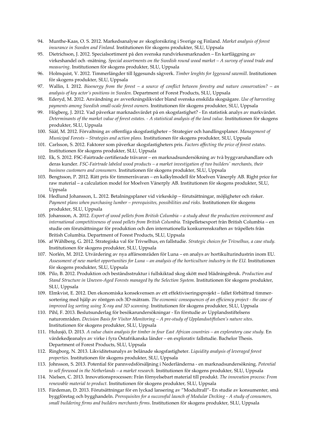- 94. Munthe‐Kaas, O. S. 2012. Markedsanalyse av skogforsikring i Sverige og Finland. *Market analysis of forest insurance in Sweden and Finland.* Institutionen för skogens produkter, SLU, Uppsala
- 95. Dietrichson, J. 2012. Specialsortiment på den svenska rundvirkesmarknaden En kartläggning av virkeshandel och ‐mätning. *Special assortments on the Swedish round wood market – A survey of wood trade and measuring*. Institutionen för skogens produkter, SLU, Uppsala
- 96. Holmquist, V. 2012. Timmerlängder till Iggesunds sågverk. *Timber lenghts for Iggesund sawmill*. Institutionen för skogens produkter, SLU, Uppsala
- 97. Wallin, I. 2012. Bioenergy from the forest  $-$  a source of conflict between forestry and nature conservation?  $-$  an *analysis of key actor's positions in Sweden.* Department of Forest Products, SLU, Uppsala
- 98. Ederyd, M. 2012. Användning av avverkningslikvider bland svenska enskilda skogsägare. *Use of harvesting payments among Swedish small‐scale forest owners.* Institutionen för skogens produkter, SLU, Uppsala
- 99. Högberg, J. 2012. Vad påverkar marknadsvärdet på en skogsfastighet? ‐ En statistisk analys av markvärdet. Determinants of the market value of forest estates. - A statistical analysis of the land value. Institutionen för skogens produkter, SLU, Uppsala
- 100. Sääf, M. 2012. Förvaltning av offentliga skogsfastigheter Strategier och handlingsplaner. *Management of Municipal Forests – Strategies and action plans.* Institutionen för skogens produkter, SLU, Uppsala
- 101. Carlsson, S. 2012. Faktorer som påverkar skogsfastigheters pris. *Factors affecting the price of forest estates.* Institutionen för skogens produkter, SLU, Uppsala
- 102. Ek, S. 2012. FSC‐Fairtrade certifierade trävaror en marknadsundersökning av två byggvaruhandlare och deras kunder. *FSC‐Fairtrade labeled wood products – a market investigation of two buildersʹ merchants, their business customers and consumers.* Institutionen för skogens produkter, SLU, Uppsala
- 103. Bengtsson, P. 2012. Rätt pris för timmerråvaran en kalkylmodell för Moelven Vänerply AB. Right price for raw material – a calculation model for Moelven Vänerply AB. Institutionen för skogens produkter, SLU, Uppsala
- 104. Hedlund Johansson, L. 2012. Betalningsplaner vid virkesköp förutsättningar, möjligheter och risker. *Payment plans when purchasing lumber – prerequisites, possibilities and risks.* Institutionen för skogens produkter, SLU, Uppsala
- 105. Johansson, A. 2012. *Export of wood pellets from British Columbia a study about the production environment and international competitiveness of wood pellets from British Columbia.* Träpelletsexport från British Columbia – en studie om förutsättningar för produktion och den internationella konkurrenskraften av träpellets från British Columbia. Department of Forest Products, SLU, Uppsala
- 106. af Wåhlberg, G. 2012. Strategiska val för Trivselhus, en fallstudie. *Strategic choices for Trivselhus, a case study.* Institutionen för skogens produkter, SLU, Uppsala
- 107. Norlén, M. 2012. Utvärdering av nya affärsområden för Luna en analys av hortikulturindustrin inom EU. Assessment of new market opportunities for Luna – an analysis of the horticulture industry in the EU. Institutionen för skogens produkter, SLU, Uppsala
- 108. Pilo, B. 2012. Produktion och beståndsstruktur i fullskiktad skog skött med blädningsbruk. *Production and Stand Structure in Uneven‐Aged Forests managed by the Selection System.* Institutionen för skogens produkter, SLU, Uppsala
- 109. Elmkvist, E. 2012. Den ekonomiska konsekvensen av ett effektiviseringsprojekt fallet förbättrad timmer‐ sortering med hjälp av röntgen och 3D‐mätram. *The economic consequences of an efficiency project ‐ the case of improved log sorting using X‐ray and 3D scanning.* Institutionen för skogens produkter, SLU, Uppsala
- 110. Pihl, F. 2013. Beslutsunderlag för besökarundersökningar ‐ En förstudie av Upplandsstiftelsens naturområden. *Decision Basis for Visitor Monitoring – A pre‐study of Upplandsstiftelsen's nature sites*. Institutionen för skogens produkter, SLU, Uppsala
- 111. Hulusjö, D. 2013. A value chain analysis for timber in four East African countries an exploratory case study. En värdekedjeanalys av virke i fyra Östafrikanska länder – en explorativ fallstudie. Bachelor Thesis. Department of Forest Products, SLU, Uppsala
- 112. Ringborg, N. 2013. Likviditetsanalys av belånade skogsfastigheter. *Liquidity analysis of leveraged forest properties.* Institutionen för skogens produkter, SLU, Uppsala
- 113. Johnsson, S. 2013. Potential för pannvedsförsäljning i Nederländerna ‐ en marknadsundersökning. *Potential to sell firewood in the Netherlands – a market research.* Institutionen för skogens produkter, SLU, Uppsala
- 114. Nielsen, C. 2013. Innovationsprocessen: Från förnyelsebart material till produkt. *The innovation process: From renewable material to product.* Institutionen för skogens produkter, SLU, Uppsala
- 115. Färdeman, D. 2013. Förutsättningar för en lyckad lansering av "Modultrall"‐ En studie av konsumenter, små byggföretag och bygghandeln. *Prerequisites for a successful launch of Modular Decking ‐ A study of consumers, small buildering firms and builders merchants firms*. Institutionen för skogens produkter, SLU, Uppsala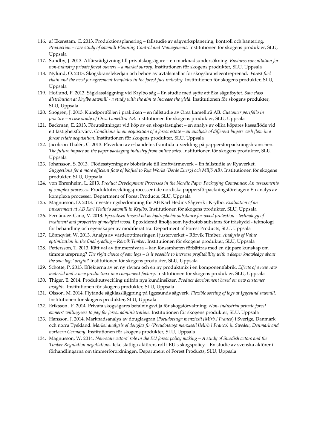- 116. af Ekenstam, C. 2013. Produktionsplanering fallstudie av sågverksplanering, kontroll och hantering. *Production – case study of sawmill Planning Control and Management.* Institutionen för skogens produkter, SLU, Uppsala
- 117. Sundby, J. 2013. Affärsrådgivning till privatskogsägare en marknadsundersökning. *Business consultation for non‐industry private forest owners – a market survey.* Institutionen för skogens produkter, SLU, Uppsala
- 118. Nylund, O. 2013. Skogsbränslekedjan och behov av avtalsmallar för skogsbränsleentreprenad. *Forest fuel chain and the need for agreement templates in the forest fuel industry.* Institutionen för skogens produkter, SLU, Uppsala
- 119. Hoflund, P. 2013. Sågklassläggning vid Krylbo såg En studie med syfte att öka sågutbytet. *Saw class distribution at Krylbo sawmill ‐ a study with the aim to increase the yield.* Institutionen för skogens produkter, SLU, Uppsala
- 120. Snögren, J. 2013. Kundportföljen i praktiken en fallstudie av Orsa Lamellträ AB. *Customer portfolio in practice – a case study of Orsa Lamellträ AB.* Institutionen för skogens produkter, SLU, Uppsala
- 121. Backman, E. 2013. Förutsättningar vid köp av en skogsfastighet en analys av olika köpares kassaflöde vid ett fastighetsförvärv. Conditions in an acquisition of a forest estate – an analysis of different buyers cash flow in a *forest estate acquisition.* Institutionen för skogens produkter, SLU, Uppsala
- 122. Jacobson Thalén, C. 2013. Påverkan av e‐handelns framtida utveckling på pappersförpackningsbranschen. *The future impact on the paper packaging industry from online sales.* Institutionen för skogens produkter, SLU, Uppsala
- 123. Johansson, S. 2013. Flödesstyrning av biobränsle till kraftvärmeverk En fallstudie av Ryaverket. Suggestions for a more efficient flow of biofuel to Rya Works (Borås Energi och Miljö AB). Institutionen för skogens produkter, SLU, Uppsala
- 124. von Ehrenheim, L. 2013. *Product Development Processes in the Nordic Paper Packaging Companies: An assessments of complex processes*. Produktutvecklingsprocesser i de nordiska pappersförpackningsföretagen: En analys av komplexa processer. Department of Forest Products, SLU, Uppsala
- 125. Magnusson, D. 2013. Investeringsbedömning för AB Karl Hedins Sågverk i Krylbo. *Evaluation of an investement at AB Karl Hedin's sawmill in Krylbo.* Institutionen för skogens produkter, SLU, Uppsala
- 126. Fernández‐Cano, V. 2013. *Epoxidised linseed oil as hydrophobic substance for wood protection ‐ technology of treatment and properties of modified wood.* Epoxiderad linolja som hydrofob substans för träskydd ‐ teknologi för behandling och egenskaper av modifierat trä. Department of Forest Products, SLU, Uppsala
- 127. Lönnqvist, W. 2013. Analys av värdeoptimeringen i justerverket Rörvik Timber. *Analysis of Value optimization in the final grading – Rörvik Timber.* Institutionen för skogens produkter, SLU, Uppsala
- 128. Pettersson, T. 2013. Rätt val av timmerråvara kan lönsamheten förbättras med en djupare kunskap om timrets ursprung? The right choice of saw logs - is it possible to increase profitability with a deeper knowledge about *the saw logs' origin?* Institutionen för skogens produkter, SLU, Uppsala
- 129. Schotte, P. 2013. Effekterna av en ny råvara och en ny produktmix i en komponentfabrik. *Effects of a new raw material and a new productmix in a component factory*. Institutionen för skogens produkter, SLU, Uppsala
- 130. Thiger, E. 2014. Produktutveckling utifrån nya kundinsikter. *Product development based on new customer insights*. Institutionen för skogens produkter, SLU, Uppsala
- 131. Olsson, M. 2014. Flytande sågklassläggning på Iggesunds sågverk*. Flexible sorting of logs at Iggesund sawmill.* Institutionen för skogens produkter, SLU, Uppsala
- 132. Eriksson , F. 2014. Privata skogsägares betalningsvilja för skogsförvaltning. *Non‐ industrial private forest owners' willingness to pay for forest administration.* Institutionen för skogens produkter, SLU, Uppsala
- 133. Hansson, J. 2014. Marknadsanalys av douglasgran (*Pseudotsuga menziesii [Mirb.] Franco*) i Sverige, Danmark och norra Tyskland. *Market analysis of douglas fir (Pseudotsuga menziesii [Mirb.] Franco) in Sweden, Denmark and northern Germany.* Institutionen för skogens produkter, SLU, Uppsala
- 134. Magnusson, W. 2014. Non-state actors' role in the EU forest policy making A study of Swedish actors and the *Timber Regulation negotiations.* Icke statliga aktörers roll i EU:s skogspolicy – En studie av svenska aktörer i förhandlingarna om timmerförordningen. Department of Forest Products, SLU, Uppsala